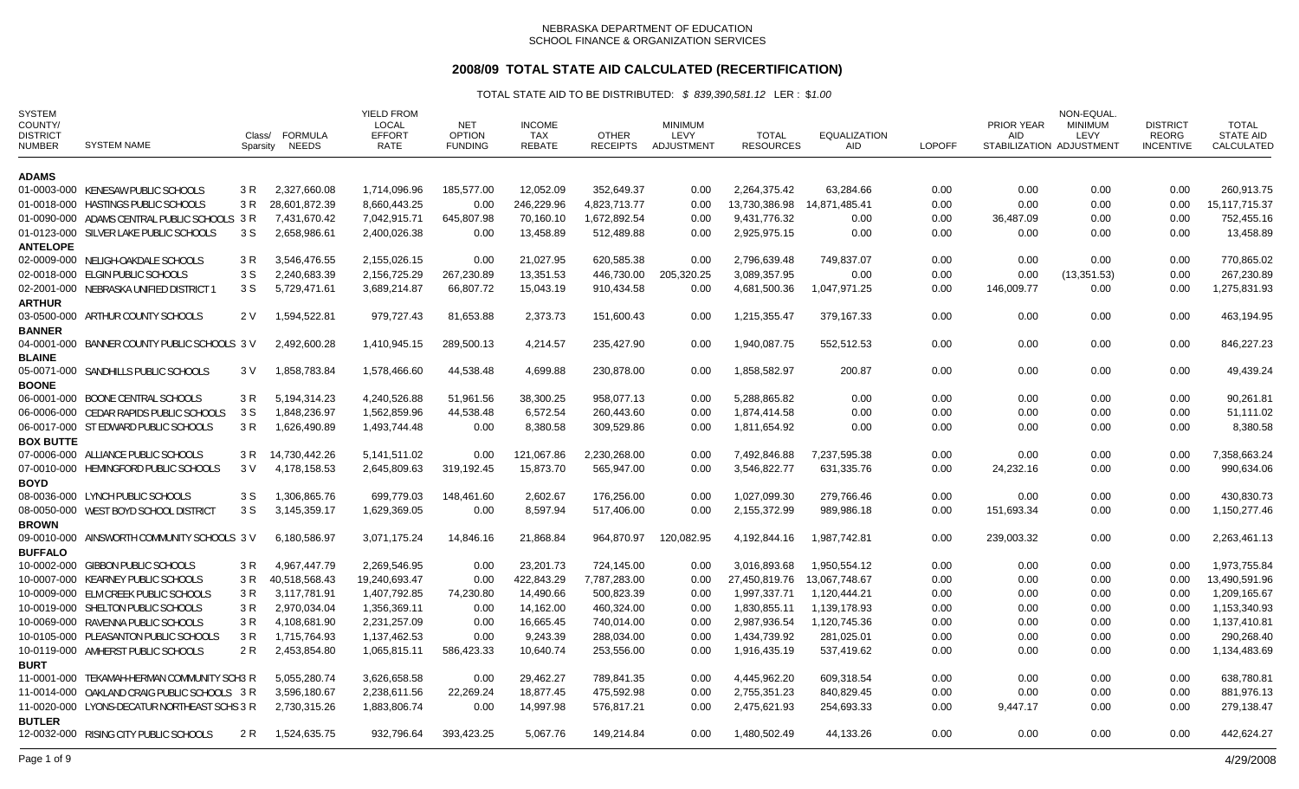## **2008/09 TOTAL STATE AID CALCULATED (RECERTIFICATION)**

| <b>SYSTEM</b><br>COUNTY/<br><b>DISTRICT</b><br><b>NUMBER</b> | <b>SYSTEM NAME</b>                                                         | Class/<br>Sparsity | <b>FORMULA</b><br>NEEDS       | <b>YIELD FROM</b><br>LOCAL<br><b>EFFORT</b><br><b>RATE</b> | <b>NET</b><br><b>OPTION</b><br><b>FUNDING</b> | <b>INCOME</b><br><b>TAX</b><br><b>REBATE</b> | <b>OTHER</b><br><b>RECEIPTS</b> | <b>MINIMUM</b><br><b>LEVY</b><br>ADJUSTMENT | <b>TOTAL</b><br><b>RESOURCES</b> | <b>EQUALIZATION</b><br><b>AID</b> | <b>LOPOFF</b> | <b>PRIOR YEAR</b><br><b>AID</b> | NON-EQUAL<br><b>MINIMUM</b><br>LEVY<br>STABILIZATION ADJUSTMENT | <b>DISTRICT</b><br><b>REORG</b><br><b>INCENTIVE</b> | TOTAL<br><b>STATE AID</b><br>CALCULATED |
|--------------------------------------------------------------|----------------------------------------------------------------------------|--------------------|-------------------------------|------------------------------------------------------------|-----------------------------------------------|----------------------------------------------|---------------------------------|---------------------------------------------|----------------------------------|-----------------------------------|---------------|---------------------------------|-----------------------------------------------------------------|-----------------------------------------------------|-----------------------------------------|
| <b>ADAMS</b>                                                 |                                                                            |                    |                               |                                                            |                                               |                                              |                                 |                                             |                                  |                                   |               |                                 |                                                                 |                                                     |                                         |
|                                                              | 01-0003-000 KENESAW PUBLIC SCHOOLS                                         | 3 R                | 2.327.660.08                  | 1.714.096.96                                               | 185.577.00                                    | 12.052.09                                    | 352.649.37                      | 0.00                                        | 2.264.375.42                     | 63.284.66                         | 0.00          | 0.00                            | 0.00                                                            | 0.00                                                | 260.913.75                              |
|                                                              | 01-0018-000 HASTINGS PUBLIC SCHOOLS                                        | 3 R                | 28,601,872.39                 | 8,660,443.25                                               | 0.00                                          | 246,229.96                                   | 4,823,713.77                    | 0.00                                        | 13.730.386.98                    | 14.871.485.41                     | 0.00          | 0.00                            | 0.00                                                            | 0.00                                                | 15.117.715.37                           |
|                                                              | 01-0090-000 ADAMS CENTRAL PUBLIC SCHOOLS 3 R                               |                    | 7,431,670.42                  | 7,042,915.71                                               | 645,807.98                                    | 70,160.10                                    | 1,672,892.54                    | 0.00                                        | 9,431,776.32                     | 0.00                              | 0.00          | 36,487.09                       | 0.00                                                            | 0.00                                                | 752,455.16                              |
|                                                              | 01-0123-000 SILVER LAKE PUBLIC SCHOOLS                                     | 3 S                | 2,658,986.61                  | 2,400,026.38                                               | 0.00                                          | 13,458.89                                    | 512,489.88                      | 0.00                                        | 2,925,975.15                     | 0.00                              | 0.00          | 0.00                            | 0.00                                                            | 0.00                                                | 13,458.89                               |
| <b>ANTELOPE</b>                                              |                                                                            |                    |                               |                                                            |                                               |                                              |                                 |                                             |                                  |                                   |               |                                 |                                                                 |                                                     |                                         |
|                                                              | 02-0009-000 NELIGH-OAKDALE SCHOOLS                                         | 3 R                | 3,546,476.55                  | 2,155,026.15                                               | 0.00                                          | 21,027.95                                    | 620,585.38                      | 0.00                                        | 2,796,639.48                     | 749,837.07                        | 0.00          | 0.00                            | 0.00                                                            | 0.00                                                | 770,865.02                              |
|                                                              | 02-0018-000 ELGIN PUBLIC SCHOOLS                                           | 3 S                | 2,240,683.39                  | 2,156,725.29                                               | 267,230.89                                    | 13,351.53                                    | 446,730.00                      | 205,320.25                                  | 3,089,357.95                     | 0.00                              | 0.00          | 0.00                            | (13, 351.53)                                                    | 0.00                                                | 267,230.89                              |
|                                                              | 02-2001-000 NEBRASKA UNIFIED DISTRICT                                      | 3 S                | 5,729,471.61                  | 3,689,214.87                                               | 66,807.72                                     | 15,043.19                                    | 910,434.58                      | 0.00                                        | 4,681,500.36                     | 1,047,971.25                      | 0.00          | 146,009.77                      | 0.00                                                            | 0.00                                                | 1,275,831.93                            |
| <b>ARTHUR</b>                                                |                                                                            |                    |                               |                                                            |                                               |                                              |                                 |                                             |                                  |                                   |               |                                 |                                                                 |                                                     |                                         |
|                                                              | 03-0500-000 ARTHUR COUNTY SCHOOLS                                          | 2 V                | 1,594,522.81                  | 979,727.43                                                 | 81,653.88                                     | 2,373.73                                     | 151,600.43                      | 0.00                                        | 1,215,355.47                     | 379,167.33                        | 0.00          | 0.00                            | 0.00                                                            | 0.00                                                | 463,194.95                              |
| <b>BANNER</b>                                                |                                                                            |                    |                               |                                                            |                                               |                                              |                                 |                                             |                                  |                                   |               |                                 |                                                                 |                                                     |                                         |
|                                                              | 04-0001-000 BANNER COUNTY PUBLIC SCHOOLS 3 V                               |                    | 2,492,600.28                  | 1,410,945.15                                               | 289,500.13                                    | 4,214.57                                     | 235,427.90                      | 0.00                                        | 1,940,087.75                     | 552,512.53                        | 0.00          | 0.00                            | 0.00                                                            | 0.00                                                | 846,227.23                              |
| <b>BLAINE</b>                                                | 05-0071-000 SANDHILLS PUBLIC SCHOOLS                                       | 3 V                | 1,858,783.84                  | 1,578,466.60                                               | 44,538.48                                     | 4,699.88                                     | 230,878.00                      | 0.00                                        | 1,858,582.97                     | 200.87                            | 0.00          | 0.00                            | 0.00                                                            | 0.00                                                | 49,439.24                               |
| <b>BOONE</b>                                                 |                                                                            |                    |                               |                                                            |                                               |                                              |                                 |                                             |                                  |                                   |               |                                 |                                                                 |                                                     |                                         |
|                                                              | 06-0001-000 BOONE CENTRAL SCHOOLS                                          | 3 R                | 5,194,314.23                  | 4,240,526.88                                               | 51,961.56                                     | 38,300.25                                    | 958,077.13                      | 0.00                                        | 5,288,865.82                     | 0.00                              | 0.00          | 0.00                            | 0.00                                                            | 0.00                                                | 90,261.81                               |
|                                                              | 06-0006-000 CEDAR RAPIDS PUBLIC SCHOOLS                                    | 3 S                | 1,848,236.97                  | 1,562,859.96                                               | 44,538.48                                     | 6,572.54                                     | 260,443.60                      | 0.00                                        | 1,874,414.58                     | 0.00                              | 0.00          | 0.00                            | 0.00                                                            | 0.00                                                | 51,111.02                               |
|                                                              | 06-0017-000 ST EDWARD PUBLIC SCHOOLS                                       | 3 R                | 1,626,490.89                  | 1,493,744.48                                               | 0.00                                          | 8,380.58                                     | 309,529.86                      | 0.00                                        | 1,811,654.92                     | 0.00                              | 0.00          | 0.00                            | 0.00                                                            | 0.00                                                | 8,380.58                                |
| <b>BOX BUTTE</b>                                             |                                                                            |                    |                               |                                                            |                                               |                                              |                                 |                                             |                                  |                                   |               |                                 |                                                                 |                                                     |                                         |
|                                                              | 07-0006-000 ALLIANCE PUBLIC SCHOOLS                                        | 3 R                | 14,730,442.26                 | 5,141,511.02                                               | 0.00                                          | 121,067.86                                   | 2,230,268.00                    | 0.00                                        | 7,492,846.88                     | 7,237,595.38                      | 0.00          | 0.00                            | 0.00                                                            | 0.00                                                | 7,358,663.24                            |
|                                                              | 07-0010-000 HEMINGFORD PUBLIC SCHOOLS                                      | 3 V                | 4,178,158.53                  | 2,645,809.63                                               | 319,192.45                                    | 15,873.70                                    | 565,947.00                      | 0.00                                        | 3,546,822.77                     | 631,335.76                        | 0.00          | 24,232.16                       | 0.00                                                            | 0.00                                                | 990,634.06                              |
| <b>BOYD</b>                                                  |                                                                            |                    |                               |                                                            |                                               |                                              |                                 |                                             |                                  |                                   |               |                                 |                                                                 |                                                     |                                         |
|                                                              | 08-0036-000 LYNCH PUBLIC SCHOOLS                                           | 3 S                | 1.306.865.76                  | 699.779.03                                                 | 148,461.60                                    | 2,602.67                                     | 176.256.00                      | 0.00                                        | 1,027,099.30                     | 279,766.46                        | 0.00          | 0.00                            | 0.00                                                            | 0.00                                                | 430.830.73                              |
|                                                              | 08-0050-000 WEST BOYD SCHOOL DISTRICT                                      | 3S                 | 3,145,359.17                  | 1,629,369.05                                               | 0.00                                          | 8,597.94                                     | 517,406.00                      | 0.00                                        | 2,155,372.99                     | 989,986.18                        | 0.00          | 151,693.34                      | 0.00                                                            | 0.00                                                | 1,150,277.46                            |
| <b>BROWN</b>                                                 |                                                                            |                    |                               |                                                            |                                               |                                              |                                 |                                             |                                  |                                   |               |                                 |                                                                 |                                                     |                                         |
|                                                              | 09-0010-000 AINSWORTH COMMUNITY SCHOOLS 3 V                                |                    | 6,180,586.97                  | 3,071,175.24                                               | 14,846.16                                     | 21,868.84                                    | 964,870.97                      | 120,082.95                                  | 4,192,844.16                     | 1,987,742.81                      | 0.00          | 239,003.32                      | 0.00                                                            | 0.00                                                | 2,263,461.13                            |
| <b>BUFFALO</b>                                               |                                                                            |                    |                               |                                                            |                                               |                                              |                                 |                                             |                                  |                                   |               |                                 |                                                                 |                                                     |                                         |
|                                                              | 10-0002-000 GIBBON PUBLIC SCHOOLS                                          | 3 R                | 4.967.447.79                  | 2.269.546.95                                               | 0.00                                          | 23.201.73                                    | 724.145.00                      | 0.00                                        | 3.016.893.68                     | 1.950.554.12                      | 0.00          | 0.00                            | 0.00                                                            | 0.00                                                | 1.973.755.84                            |
|                                                              | 10-0007-000 KEARNEY PUBLIC SCHOOLS<br>10-0009-000 ELM CREEK PUBLIC SCHOOLS | 3 R<br>3 R         | 40,518,568.43<br>3,117,781.91 | 19,240,693.47<br>1,407,792.85                              | 0.00<br>74,230.80                             | 422,843.29<br>14,490.66                      | 7,787,283.00<br>500,823.39      | 0.00                                        | 27,450,819.76<br>1,997,337.71    | 13,067,748.67                     | 0.00<br>0.00  | 0.00<br>0.00                    | 0.00                                                            | 0.00<br>0.00                                        | 13,490,591.96<br>1,209,165.67           |
|                                                              | 10-0019-000 SHELTON PUBLIC SCHOOLS                                         | 3 R                | 2,970,034.04                  | 1,356,369.11                                               | 0.00                                          | 14,162.00                                    | 460,324.00                      | 0.00<br>0.00                                | 1,830,855.11                     | 1,120,444.21<br>1,139,178.93      | 0.00          | 0.00                            | 0.00<br>0.00                                                    | 0.00                                                | 1,153,340.93                            |
|                                                              | 10-0069-000 RAVENNA PUBLIC SCHOOLS                                         | 3 R                | 4,108,681.90                  | 2,231,257.09                                               | 0.00                                          | 16,665.45                                    | 740,014.00                      | 0.00                                        | 2,987,936.54                     | 1,120,745.36                      | 0.00          | 0.00                            | 0.00                                                            | 0.00                                                | 1,137,410.81                            |
|                                                              | 10-0105-000 PLEASANTON PUBLIC SCHOOLS                                      | 3 R                | 1,715,764.93                  | 1,137,462.53                                               | 0.00                                          | 9,243.39                                     | 288,034.00                      | 0.00                                        | 1,434,739.92                     | 281,025.01                        | 0.00          | 0.00                            | 0.00                                                            | 0.00                                                | 290,268.40                              |
|                                                              | 10-0119-000 AMHERST PUBLIC SCHOOLS                                         | 2 R                | 2,453,854.80                  | 1,065,815.11                                               | 586,423.33                                    | 10,640.74                                    | 253,556.00                      | 0.00                                        | 1,916,435.19                     | 537,419.62                        | 0.00          | 0.00                            | 0.00                                                            | 0.00                                                | 1,134,483.69                            |
| <b>BURT</b>                                                  |                                                                            |                    |                               |                                                            |                                               |                                              |                                 |                                             |                                  |                                   |               |                                 |                                                                 |                                                     |                                         |
|                                                              | 11-0001-000 TEKAMAH-HERMAN COMMUNITY SCH3 R                                |                    | 5,055,280.74                  | 3,626,658.58                                               | 0.00                                          | 29,462.27                                    | 789,841.35                      | 0.00                                        | 4,445,962.20                     | 609,318.54                        | 0.00          | 0.00                            | 0.00                                                            | 0.00                                                | 638,780.81                              |
|                                                              | 11-0014-000 OAKLAND CRAIG PUBLIC SCHOOLS 3 R                               |                    | 3,596,180.67                  | 2,238,611.56                                               | 22,269.24                                     | 18,877.45                                    | 475,592.98                      | 0.00                                        | 2,755,351.23                     | 840,829.45                        | 0.00          | 0.00                            | 0.00                                                            | 0.00                                                | 881,976.13                              |
|                                                              | 11-0020-000 LYONS-DECATUR NORTHEAST SCHS 3 R                               |                    | 2,730,315.26                  | 1,883,806.74                                               | 0.00                                          | 14,997.98                                    | 576,817.21                      | 0.00                                        | 2,475,621.93                     | 254,693.33                        | 0.00          | 9,447.17                        | 0.00                                                            | 0.00                                                | 279,138.47                              |
| <b>BUTLER</b>                                                |                                                                            |                    |                               |                                                            |                                               |                                              |                                 |                                             |                                  |                                   |               |                                 |                                                                 |                                                     |                                         |
|                                                              | 12-0032-000 RISING CITY PUBLIC SCHOOLS                                     | 2 R                | 1,524,635.75                  | 932,796.64                                                 | 393,423.25                                    | 5,067.76                                     | 149,214.84                      | 0.00                                        | 1,480,502.49                     | 44,133.26                         | 0.00          | 0.00                            | 0.00                                                            | 0.00                                                | 442,624.27                              |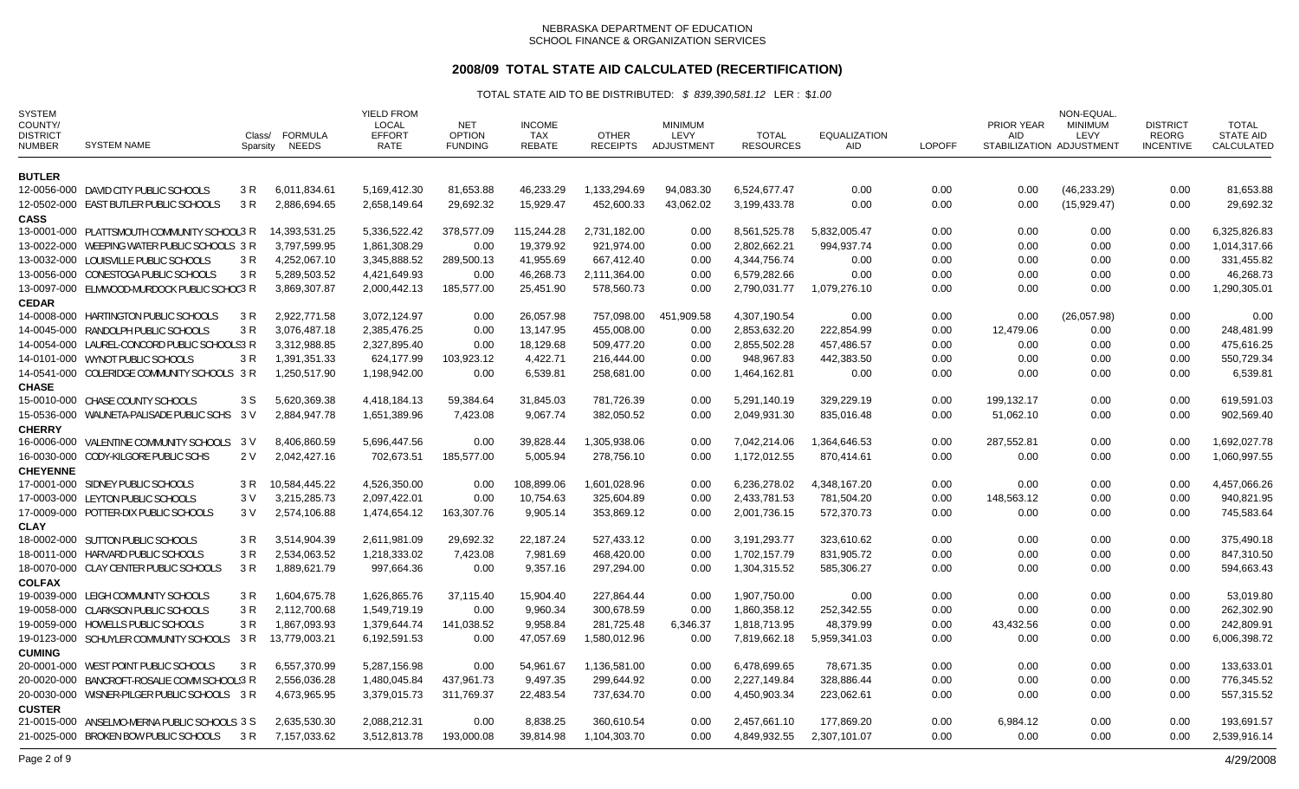## **2008/09 TOTAL STATE AID CALCULATED (RECERTIFICATION)**

| <b>SYSTEM</b><br>COUNTY/<br><b>DISTRICT</b><br><b>NUMBER</b> | <b>SYSTEM NAME</b>                                                                    | Class/<br>Sparsity | <b>FORMULA</b><br><b>NEEDS</b> | <b>YIELD FROM</b><br><b>LOCAL</b><br><b>EFFORT</b><br>RATE | <b>NET</b><br><b>OPTION</b><br><b>FUNDING</b> | <b>INCOME</b><br><b>TAX</b><br><b>REBATE</b> | <b>OTHER</b><br><b>RECEIPTS</b> | <b>MINIMUM</b><br>LEVY<br>ADJUSTMENT | <b>TOTAL</b><br><b>RESOURCES</b> | <b>EQUALIZATION</b><br>AID | <b>LOPOFF</b> | <b>PRIOR YEAR</b><br><b>AID</b> | NON-EQUAL<br><b>MINIMUM</b><br>LEVY<br>STABILIZATION ADJUSTMENT | <b>DISTRICT</b><br><b>REORG</b><br><b>INCENTIVE</b> | <b>TOTAL</b><br><b>STATE AID</b><br>CALCULATED |
|--------------------------------------------------------------|---------------------------------------------------------------------------------------|--------------------|--------------------------------|------------------------------------------------------------|-----------------------------------------------|----------------------------------------------|---------------------------------|--------------------------------------|----------------------------------|----------------------------|---------------|---------------------------------|-----------------------------------------------------------------|-----------------------------------------------------|------------------------------------------------|
| <b>BUTLER</b>                                                |                                                                                       |                    |                                |                                                            |                                               |                                              |                                 |                                      |                                  |                            |               |                                 |                                                                 |                                                     |                                                |
|                                                              | 12-0056-000 DAVID CITY PUBLIC SCHOOLS                                                 | 3 R                | 6,011,834.61                   | 5,169,412.30                                               | 81,653.88                                     | 46,233.29                                    | 1,133,294.69                    | 94,083.30                            | 6,524,677.47                     | 0.00                       | 0.00          | 0.00                            | (46, 233.29)                                                    | 0.00                                                | 81,653.88                                      |
|                                                              | 12-0502-000 EAST BUTLER PUBLIC SCHOOLS                                                | 3 R                | 2,886,694.65                   | 2,658,149.64                                               | 29,692.32                                     | 15,929.47                                    | 452,600.33                      | 43,062.02                            | 3,199,433.78                     | 0.00                       | 0.00          | 0.00                            | (15,929.47)                                                     | 0.00                                                | 29,692.32                                      |
| <b>CASS</b>                                                  |                                                                                       |                    |                                |                                                            |                                               |                                              |                                 |                                      |                                  |                            |               |                                 |                                                                 |                                                     |                                                |
|                                                              | 13-0001-000 PLATTSMOUTH COMMUNITY SCHOOL3 R                                           |                    | 14,393,531.25                  | 5,336,522.42                                               | 378,577.09                                    | 115,244.28                                   | 2,731,182.00                    | 0.00                                 | 8,561,525.78                     | 5,832,005.47               | 0.00          | 0.00                            | 0.00                                                            | 0.00                                                | 6,325,826.83                                   |
|                                                              | 13-0022-000 WEEPING WATER PUBLIC SCHOOLS 3 R                                          |                    | 3,797,599.95                   | 1,861,308.29                                               | 0.00                                          | 19,379.92                                    | 921,974.00                      | 0.00                                 | 2,802,662.21                     | 994,937.74                 | 0.00          | 0.00                            | 0.00                                                            | 0.00                                                | 1,014,317.66                                   |
|                                                              | 13-0032-000 LOUISVILLE PUBLIC SCHOOLS                                                 | 3 R                | 4,252,067.10                   | 3,345,888.52                                               | 289,500.13                                    | 41,955.69                                    | 667,412.40                      | 0.00                                 | 4,344,756.74                     | 0.00                       | 0.00          | 0.00                            | 0.00                                                            | 0.00                                                | 331,455.82                                     |
|                                                              | 13-0056-000 CONESTOGA PUBLIC SCHOOLS                                                  | 3 R                | 5,289,503.52                   | 4,421,649.93                                               | 0.00                                          | 46,268.73                                    | 2,111,364.00                    | 0.00                                 | 6,579,282.66                     | 0.00                       | 0.00          | 0.00                            | 0.00                                                            | 0.00                                                | 46,268.73                                      |
|                                                              | 13-0097-000 ELMWOOD-MURDOCK PUBLIC SCHOC3 R                                           |                    | 3,869,307.87                   | 2,000,442.13                                               | 185,577.00                                    | 25,451.90                                    | 578,560.73                      | 0.00                                 | 2,790,031.77                     | 1,079,276.10               | 0.00          | 0.00                            | 0.00                                                            | 0.00                                                | 1,290,305.01                                   |
| <b>CEDAR</b>                                                 |                                                                                       |                    |                                |                                                            |                                               |                                              |                                 |                                      |                                  |                            |               |                                 |                                                                 |                                                     |                                                |
|                                                              | 14-0008-000 HARTINGTON PUBLIC SCHOOLS                                                 | 3 R                | 2,922,771.58                   | 3,072,124.97                                               | 0.00                                          | 26,057.98                                    | 757,098.00                      | 451,909.58                           | 4,307,190.54                     | 0.00                       | 0.00          | 0.00                            | (26,057.98)                                                     | 0.00                                                | 0.00                                           |
|                                                              | 14-0045-000 RANDOLPH PUBLIC SCHOOLS                                                   | 3 R                | 3,076,487.18                   | 2,385,476.25                                               | 0.00                                          | 13,147.95                                    | 455,008.00                      | 0.00                                 | 2,853,632.20                     | 222,854.99                 | 0.00          | 12,479.06                       | 0.00                                                            | 0.00                                                | 248,481.99                                     |
|                                                              | 14-0054-000 LAUREL-CONCORD PUBLIC SCHOOLS3 R                                          |                    | 3,312,988.85                   | 2,327,895.40                                               | 0.00                                          | 18,129.68                                    | 509,477.20                      | 0.00                                 | 2,855,502.28                     | 457,486.57                 | 0.00          | 0.00                            | 0.00                                                            | 0.00                                                | 475,616.25                                     |
|                                                              | 14-0101-000 WYNOT PUBLIC SCHOOLS                                                      | 3 R                | 1,391,351.33                   | 624,177.99                                                 | 103,923.12                                    | 4,422.71                                     | 216,444.00                      | 0.00                                 | 948,967.83                       | 442,383.50                 | 0.00          | 0.00                            | 0.00                                                            | 0.00                                                | 550,729.34                                     |
|                                                              | 14-0541-000 COLERIDGE COMMUNITY SCHOOLS 3 R                                           |                    | 1,250,517.90                   | 1,198,942.00                                               | 0.00                                          | 6,539.81                                     | 258,681.00                      | 0.00                                 | 1,464,162.81                     | 0.00                       | 0.00          | 0.00                            | 0.00                                                            | 0.00                                                | 6,539.81                                       |
| <b>CHASE</b>                                                 |                                                                                       |                    |                                |                                                            |                                               |                                              |                                 |                                      |                                  |                            |               |                                 |                                                                 |                                                     |                                                |
|                                                              | 15-0010-000 CHASE COUNTY SCHOOLS                                                      | 3 S                | 5,620,369.38                   | 4,418,184.13                                               | 59,384.64                                     | 31,845.03                                    | 781,726.39                      | 0.00                                 | 5,291,140.19                     | 329,229.19                 | 0.00          | 199,132.17                      | 0.00                                                            | 0.00                                                | 619,591.03                                     |
|                                                              | 15-0536-000 WAUNETA-PALISADE PUBLIC SCHS                                              | 3 V                | 2,884,947.78                   | 1,651,389.96                                               | 7,423.08                                      | 9,067.74                                     | 382,050.52                      | 0.00                                 | 2,049,931.30                     | 835,016.48                 | 0.00          | 51,062.10                       | 0.00                                                            | 0.00                                                | 902,569.40                                     |
| <b>CHERRY</b>                                                |                                                                                       |                    |                                |                                                            |                                               |                                              |                                 |                                      |                                  |                            |               |                                 |                                                                 |                                                     |                                                |
|                                                              | 16-0006-000 VALENTINE COMMUNITY SCHOOLS 3 V                                           |                    | 8,406,860.59                   | 5,696,447.56                                               | 0.00                                          | 39,828.44                                    | 1,305,938.06                    | 0.00                                 | 7,042,214.06                     | 1,364,646.53               | 0.00          | 287,552.81                      | 0.00                                                            | 0.00                                                | 1,692,027.78                                   |
|                                                              | 16-0030-000 CODY-KILGORE PUBLIC SCHS                                                  | 2 V                | 2,042,427.16                   | 702,673.51                                                 | 185,577.00                                    | 5,005.94                                     | 278,756.10                      | 0.00                                 | 1,172,012.55                     | 870,414.61                 | 0.00          | 0.00                            | 0.00                                                            | 0.00                                                | 1,060,997.55                                   |
| <b>CHEYENNE</b>                                              |                                                                                       |                    |                                |                                                            |                                               |                                              |                                 |                                      |                                  |                            |               |                                 |                                                                 |                                                     |                                                |
|                                                              | 17-0001-000 SIDNEY PUBLIC SCHOOLS                                                     | 3 R                | 10,584,445.22                  | 4,526,350.00                                               | 0.00                                          | 108,899.06                                   | 1,601,028.96                    | 0.00                                 | 6,236,278.02                     | 4,348,167.20               | 0.00          | 0.00                            | 0.00                                                            | 0.00                                                | 4,457,066.26                                   |
|                                                              | 17-0003-000 LEYTON PUBLIC SCHOOLS                                                     | 3V                 | 3,215,285.73                   | 2,097,422.01                                               | 0.00                                          | 10,754.63                                    | 325,604.89                      | 0.00                                 | 2,433,781.53                     | 781,504.20                 | 0.00          | 148,563.12                      | 0.00                                                            | 0.00                                                | 940,821.95                                     |
|                                                              | 17-0009-000 POTTER-DIX PUBLIC SCHOOLS                                                 | 3V                 | 2,574,106.88                   | 1,474,654.12                                               | 163,307.76                                    | 9,905.14                                     | 353,869.12                      | 0.00                                 | 2,001,736.15                     | 572,370.73                 | 0.00          | 0.00                            | 0.00                                                            | 0.00                                                | 745,583.64                                     |
| <b>CLAY</b>                                                  |                                                                                       |                    |                                |                                                            |                                               |                                              |                                 |                                      |                                  |                            |               |                                 |                                                                 |                                                     |                                                |
|                                                              | 18-0002-000 SUTTON PUBLIC SCHOOLS                                                     | 3 R                | 3,514,904.39                   | 2,611,981.09                                               | 29,692.32                                     | 22,187.24                                    | 527,433.12                      | 0.00                                 | 3,191,293.77                     | 323,610.62                 | 0.00          | 0.00                            | 0.00                                                            | 0.00                                                | 375,490.18                                     |
|                                                              | 18-0011-000 HARVARD PUBLIC SCHOOLS                                                    | 3 R                | 2,534,063.52                   | 1,218,333.02                                               | 7,423.08                                      | 7,981.69                                     | 468,420.00                      | 0.00                                 | 1,702,157.79                     | 831,905.72                 | 0.00          | 0.00                            | 0.00                                                            | 0.00                                                | 847,310.50                                     |
|                                                              | 18-0070-000 CLAY CENTER PUBLIC SCHOOLS                                                | 3 R                | 1,889,621.79                   | 997,664.36                                                 | 0.00                                          | 9,357.16                                     | 297,294.00                      | 0.00                                 | 1,304,315.52                     | 585,306.27                 | 0.00          | 0.00                            | 0.00                                                            | 0.00                                                | 594,663.43                                     |
| <b>COLFAX</b>                                                |                                                                                       |                    |                                |                                                            |                                               |                                              |                                 |                                      |                                  |                            |               |                                 |                                                                 |                                                     |                                                |
|                                                              | 19-0039-000 LEIGH COMMUNITY SCHOOLS                                                   | 3 R                | 1,604,675.78                   | 1,626,865.76                                               | 37,115.40                                     | 15,904.40                                    | 227,864.44                      | 0.00                                 | 1,907,750.00                     | 0.00                       | 0.00          | 0.00                            | 0.00                                                            | 0.00                                                | 53,019.80                                      |
|                                                              | 19-0058-000 CLARKSON PUBLIC SCHOOLS                                                   | 3 R                | 2,112,700.68                   | 1,549,719.19                                               | 0.00                                          | 9,960.34                                     | 300,678.59                      | 0.00                                 | 1,860,358.12                     | 252,342.55                 | 0.00          | 0.00                            | 0.00                                                            | 0.00                                                | 262,302.90                                     |
|                                                              | 19-0059-000 HOWELLS PUBLIC SCHOOLS                                                    | 3 R                | 1,867,093.93                   | 1,379,644.74                                               | 141,038.52                                    | 9,958.84                                     | 281,725.48                      | 6,346.37                             | 1,818,713.95                     | 48,379.99                  | 0.00          | 43,432.56                       | 0.00                                                            | 0.00                                                | 242,809.91                                     |
|                                                              | 19-0123-000 SCHUYLER COMMUNITY SCHOOLS                                                | 3 R                | 13,779,003.21                  | 6,192,591.53                                               | 0.00                                          | 47,057.69                                    | 1,580,012.96                    | 0.00                                 | 7,819,662.18                     | 5,959,341.03               | 0.00          | 0.00                            | 0.00                                                            | 0.00                                                | 6,006,398.72                                   |
| <b>CUMING</b>                                                |                                                                                       |                    |                                |                                                            |                                               |                                              |                                 |                                      |                                  |                            |               |                                 |                                                                 |                                                     |                                                |
|                                                              | 20-0001-000 WEST POINT PUBLIC SCHOOLS                                                 | 3 R                | 6,557,370.99                   | 5,287,156.98                                               | 0.00                                          | 54,961.67                                    | 1,136,581.00                    | 0.00                                 | 6,478,699.65                     | 78,671.35                  | 0.00          | 0.00                            | 0.00                                                            | 0.00                                                | 133,633.01                                     |
|                                                              | 20-0020-000 BANCROFT-ROSALIE COMM SCHOOL'3 R                                          |                    | 2,556,036.28                   | 1,480,045.84                                               | 437,961.73                                    | 9,497.35                                     | 299,644.92                      | 0.00                                 | 2,227,149.84                     | 328,886.44                 | 0.00          | 0.00                            | 0.00                                                            | 0.00                                                | 776,345.52                                     |
|                                                              | 20-0030-000 WISNER-PILGER PUBLIC SCHOOLS 3 R                                          |                    | 4,673,965.95                   | 3,379,015.73                                               | 311,769.37                                    | 22,483.54                                    | 737,634.70                      | 0.00                                 | 4,450,903.34                     | 223,062.61                 | 0.00          | 0.00                            | 0.00                                                            | 0.00                                                | 557,315.52                                     |
| <b>CUSTER</b>                                                |                                                                                       |                    |                                |                                                            |                                               |                                              |                                 |                                      | 2,457,661.10                     |                            |               |                                 |                                                                 | 0.00                                                |                                                |
|                                                              | 21-0015-000 ANSELMO-MERNA PUBLIC SCHOOLS 3 S<br>21-0025-000 BROKEN BOW PUBLIC SCHOOLS | 3 R                | 2,635,530.30<br>7,157,033.62   | 2,088,212.31<br>3,512,813.78                               | 0.00<br>193,000.08                            | 8,838.25<br>39,814.98                        | 360,610.54<br>1,104,303.70      | 0.00<br>0.00                         | 4,849,932.55                     | 177,869.20<br>2,307,101.07 | 0.00<br>0.00  | 6,984.12<br>0.00                | 0.00<br>0.00                                                    | 0.00                                                | 193,691.57<br>2,539,916.14                     |
|                                                              |                                                                                       |                    |                                |                                                            |                                               |                                              |                                 |                                      |                                  |                            |               |                                 |                                                                 |                                                     |                                                |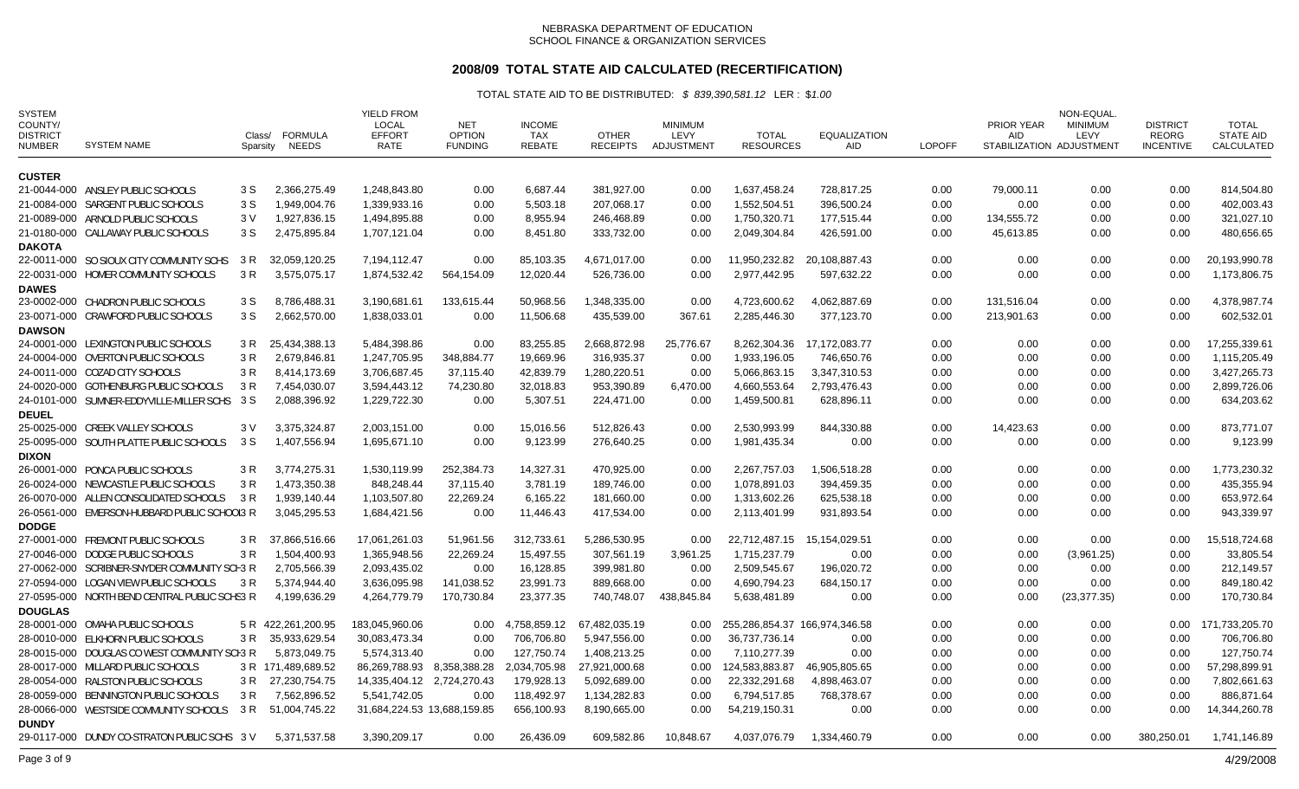## **2008/09 TOTAL STATE AID CALCULATED (RECERTIFICATION)**

| <b>SYSTEM</b><br>COUNTY/<br><b>DISTRICT</b><br><b>NUMBER</b> | <b>SYSTEM NAME</b>                            | Class/<br>Sparsity | FORMULA<br><b>NEEDS</b> | <b>YIELD FROM</b><br>LOCAL<br><b>EFFORT</b><br>RATE | <b>NET</b><br><b>OPTION</b><br><b>FUNDING</b> | <b>INCOME</b><br><b>TAX</b><br>REBATE | <b>OTHER</b><br><b>RECEIPTS</b> | <b>MINIMUM</b><br>LEVY<br>ADJUSTMENT | <b>TOTAL</b><br><b>RESOURCES</b> | <b>EQUALIZATION</b><br>AID | <b>LOPOFF</b> | PRIOR YEAR<br><b>AID</b> | NON-EQUAL<br><b>MINIMUM</b><br>LEVY<br>STABILIZATION ADJUSTMENT | <b>DISTRICT</b><br><b>REORG</b><br><b>INCENTIVE</b> | TOTAL<br><b>STATE AID</b><br>CALCULATED |
|--------------------------------------------------------------|-----------------------------------------------|--------------------|-------------------------|-----------------------------------------------------|-----------------------------------------------|---------------------------------------|---------------------------------|--------------------------------------|----------------------------------|----------------------------|---------------|--------------------------|-----------------------------------------------------------------|-----------------------------------------------------|-----------------------------------------|
| <b>CUSTER</b>                                                |                                               |                    |                         |                                                     |                                               |                                       |                                 |                                      |                                  |                            |               |                          |                                                                 |                                                     |                                         |
|                                                              | 21-0044-000 ANSLEY PUBLIC SCHOOLS             | 3 S                | 2,366,275.49            | 1,248,843.80                                        | 0.00                                          | 6,687.44                              | 381,927.00                      | 0.00                                 | 1,637,458.24                     | 728,817.25                 | 0.00          | 79,000.11                | 0.00                                                            | 0.00                                                | 814,504.80                              |
|                                                              | 21-0084-000 SARGENT PUBLIC SCHOOLS            | 3 S                | 1,949,004.76            | 1,339,933.16                                        | 0.00                                          | 5,503.18                              | 207,068.17                      | 0.00                                 | 1,552,504.51                     | 396,500.24                 | 0.00          | 0.00                     | 0.00                                                            | 0.00                                                | 402,003.43                              |
|                                                              | 21-0089-000 ARNOLD PUBLIC SCHOOLS             | 3V                 | 1,927,836.15            | 1,494,895.88                                        | 0.00                                          | 8,955.94                              | 246,468.89                      | 0.00                                 | 1,750,320.71                     | 177,515.44                 | 0.00          | 134,555.72               | 0.00                                                            | 0.00                                                | 321,027.10                              |
|                                                              | 21-0180-000 CALLAWAY PUBLIC SCHOOLS           | 3 S                | 2,475,895.84            | 1,707,121.04                                        | 0.00                                          | 8,451.80                              | 333,732.00                      | 0.00                                 | 2,049,304.84                     | 426,591.00                 | 0.00          | 45,613.85                | 0.00                                                            | 0.00                                                | 480,656.65                              |
| <b>DAKOTA</b>                                                |                                               |                    |                         |                                                     |                                               |                                       |                                 |                                      |                                  |                            |               |                          |                                                                 |                                                     |                                         |
|                                                              | 22-0011-000 SO SIOUX CITY COMMUNITY SCHS      | 3 R                | 32,059,120.25           | 7,194,112.47                                        | 0.00                                          | 85,103.35                             | 4,671,017.00                    | 0.00                                 | 11,950,232.82                    | 20,108,887.43              | 0.00          | 0.00                     | 0.00                                                            | 0.00                                                | 20,193,990.78                           |
|                                                              | 22-0031-000 HOMER COMMUNITY SCHOOLS           | 3 R                | 3,575,075.17            | 1,874,532.42                                        | 564,154.09                                    | 12,020.44                             | 526,736.00                      | 0.00                                 | 2,977,442.95                     | 597,632.22                 | 0.00          | 0.00                     | 0.00                                                            | 0.00                                                | 1,173,806.75                            |
| <b>DAWES</b>                                                 |                                               |                    |                         |                                                     |                                               |                                       |                                 |                                      |                                  |                            |               |                          |                                                                 |                                                     |                                         |
|                                                              | 23-0002-000 CHADRON PUBLIC SCHOOLS            | 3 S                | 8,786,488.31            | 3,190,681.61                                        | 133,615.44                                    | 50,968.56                             | 1,348,335.00                    | 0.00                                 | 4,723,600.62                     | 4,062,887.69               | 0.00          | 131,516.04               | 0.00                                                            | 0.00                                                | 4,378,987.74                            |
|                                                              | 23-0071-000 CRAWFORD PUBLIC SCHOOLS           | 3 S                | 2,662,570.00            | 1,838,033.01                                        | 0.00                                          | 11,506.68                             | 435,539.00                      | 367.61                               | 2,285,446.30                     | 377,123.70                 | 0.00          | 213,901.63               | 0.00                                                            | 0.00                                                | 602,532.01                              |
| <b>DAWSON</b>                                                |                                               |                    |                         |                                                     |                                               |                                       |                                 |                                      |                                  |                            |               |                          |                                                                 |                                                     |                                         |
|                                                              | 24-0001-000 LEXINGTON PUBLIC SCHOOLS          | 3 R                | 25,434,388.13           | 5,484,398.86                                        | 0.00                                          | 83,255.85                             | 2,668,872.98                    | 25,776.67                            | 8,262,304.36                     | 17,172,083.77              | 0.00          | 0.00                     | 0.00                                                            | 0.00                                                | 17,255,339.61                           |
|                                                              | 24-0004-000 OVERTON PUBLIC SCHOOLS            | 3 R                | 2,679,846.81            | 1,247,705.95                                        | 348,884.77                                    | 19,669.96                             | 316,935.37                      | 0.00                                 | 1,933,196.05                     | 746,650.76                 | 0.00          | 0.00                     | 0.00                                                            | 0.00                                                | 1,115,205.49                            |
|                                                              | 24-0011-000 COZAD CITY SCHOOLS                | 3 R                | 8,414,173.69            | 3.706.687.45                                        | 37,115.40                                     | 42,839.79                             | 1,280,220.51                    | 0.00                                 | 5.066.863.15                     | 3,347,310.53               | 0.00          | 0.00                     | 0.00                                                            | 0.00                                                | 3,427,265.73                            |
|                                                              | 24-0020-000 GOTHENBURG PUBLIC SCHOOLS         | 3 R                | 7,454,030.07            | 3,594,443.12                                        | 74,230.80                                     | 32,018.83                             | 953,390.89                      | 6,470.00                             | 4,660,553.64                     | 2,793,476.43               | 0.00          | 0.00                     | 0.00                                                            | 0.00                                                | 2,899,726.06                            |
|                                                              | 24-0101-000 SUMNER-EDDYVILLE-MILLER SCHS      | 3 S                | 2,088,396.92            | 1,229,722.30                                        | 0.00                                          | 5,307.51                              | 224,471.00                      | 0.00                                 | 1,459,500.81                     | 628,896.11                 | 0.00          | 0.00                     | 0.00                                                            | 0.00                                                | 634,203.62                              |
| <b>DEUEL</b>                                                 |                                               |                    |                         |                                                     |                                               |                                       |                                 |                                      |                                  |                            |               |                          |                                                                 |                                                     |                                         |
|                                                              | 25-0025-000 CREEK VALLEY SCHOOLS              | 3 V                | 3,375,324.87            | 2,003,151.00                                        | 0.00                                          | 15,016.56                             | 512,826.43                      | 0.00                                 | 2,530,993.99                     | 844,330.88                 | 0.00          | 14,423.63                | 0.00                                                            | 0.00                                                | 873,771.07                              |
|                                                              | 25-0095-000 SOUTH PLATTE PUBLIC SCHOOLS       | 3 S                | 1,407,556.94            | 1,695,671.10                                        | 0.00                                          | 9,123.99                              | 276,640.25                      | 0.00                                 | 1,981,435.34                     | 0.00                       | 0.00          | 0.00                     | 0.00                                                            | 0.00                                                | 9,123.99                                |
| <b>DIXON</b>                                                 |                                               |                    |                         |                                                     |                                               |                                       |                                 |                                      |                                  |                            |               |                          |                                                                 |                                                     |                                         |
|                                                              | 26-0001-000 PONCA PUBLIC SCHOOLS              | 3 R                | 3,774,275.31            | 1,530,119.99                                        | 252.384.73                                    | 14,327.31                             | 470,925.00                      | 0.00                                 | 2,267,757.03                     | 1,506,518.28               | 0.00          | 0.00                     | 0.00                                                            | 0.00                                                | 1,773,230.32                            |
|                                                              | 26-0024-000 NEWCASTLE PUBLIC SCHOOLS          | 3 R                | 1,473,350.38            | 848,248.44                                          | 37,115.40                                     | 3,781.19                              | 189,746.00                      | 0.00                                 | 1,078,891.03                     | 394,459.35                 | 0.00          | 0.00                     | 0.00                                                            | 0.00                                                | 435,355.94                              |
|                                                              | 26-0070-000 ALLEN CONSOLIDATED SCHOOLS        | 3 R                | 1,939,140.44            | 1,103,507.80                                        | 22,269.24                                     | 6,165.22                              | 181,660.00                      | 0.00                                 | 1,313,602.26                     | 625,538.18                 | 0.00          | 0.00                     | 0.00                                                            | 0.00                                                | 653,972.64                              |
|                                                              | 26-0561-000 EMERSON-HUBBARD PUBLIC SCHOOL3 R  |                    | 3,045,295.53            | 1,684,421.56                                        | 0.00                                          | 11,446.43                             | 417,534.00                      | 0.00                                 | 2,113,401.99                     | 931,893.54                 | 0.00          | 0.00                     | 0.00                                                            | 0.00                                                | 943,339.97                              |
| <b>DODGE</b>                                                 |                                               |                    |                         |                                                     |                                               |                                       |                                 |                                      |                                  |                            |               |                          |                                                                 |                                                     |                                         |
|                                                              | 27-0001-000 FREMONT PUBLIC SCHOOLS            | 3 R                | 37,866,516.66           | 17,061,261.03                                       | 51,961.56                                     | 312,733.61                            | 5,286,530.95                    | 0.00                                 | 22,712,487.15                    | 15,154,029.51              | 0.00          | 0.00                     | 0.00                                                            | 0.00                                                | 15,518,724.68                           |
|                                                              | 27-0046-000 DODGE PUBLIC SCHOOLS              | 3 R                | 1,504,400.93            | 1,365,948.56                                        | 22,269.24                                     | 15,497.55                             | 307,561.19                      | 3,961.25                             | 1,715,237.79                     | 0.00                       | 0.00          | 0.00                     | (3,961.25)                                                      | 0.00                                                | 33,805.54                               |
|                                                              | 27-0062-000 SCRIBNER-SNYDER COMMUNITY SCH3 R  |                    | 2,705,566.39            | 2,093,435.02                                        | 0.00                                          | 16,128.85                             | 399,981.80                      | 0.00                                 | 2,509,545.67                     | 196,020.72                 | 0.00          | 0.00                     | 0.00                                                            | 0.00                                                | 212,149.57                              |
|                                                              | 27-0594-000 LOGAN VIEW PUBLIC SCHOOLS         | 3 R                | 5,374,944.40            | 3,636,095.98                                        | 141,038.52                                    | 23,991.73                             | 889,668.00                      | 0.00                                 | 4,690,794.23                     | 684,150.17                 | 0.00          | 0.00                     | 0.00                                                            | 0.00                                                | 849,180.42                              |
|                                                              | 27-0595-000 NORTH BEND CENTRAL PUBLIC SCHS3 R |                    | 4,199,636.29            | 4,264,779.79                                        | 170,730.84                                    | 23,377.35                             | 740,748.07                      | 438,845.84                           | 5,638,481.89                     | 0.00                       | 0.00          | 0.00                     | (23, 377, 35)                                                   | 0.00                                                | 170,730.84                              |
| <b>DOUGLAS</b>                                               |                                               |                    |                         |                                                     |                                               |                                       |                                 |                                      |                                  |                            |               |                          |                                                                 |                                                     |                                         |
|                                                              | 28-0001-000 OMAHA PUBLIC SCHOOLS              | 5 R                | 422,261,200.95          | 183,045,960.06                                      | 0.00                                          | 4,758,859.12                          | 67,482,035.19                   | 0.00                                 | 255.286.854.37 166.974.346.58    |                            | 0.00          | 0.00                     | 0.00                                                            | 0.00                                                | 171,733,205.70                          |
|                                                              | 28-0010-000 ELKHORN PUBLIC SCHOOLS            | 3 R                | 35,933,629.54           | 30,083,473.34                                       | 0.00                                          | 706,706.80                            | 5,947,556.00                    | 0.00                                 | 36,737,736.14                    | 0.00                       | 0.00          | 0.00                     | 0.00                                                            | 0.00                                                | 706,706.80                              |
|                                                              | 28-0015-000 DOUGLAS CO WEST COMMUNITY SCH3 R  |                    | 5,873,049.75            | 5,574,313.40                                        | 0.00                                          | 127,750.74                            | 1,408,213.25                    | 0.00                                 | 7,110,277.39                     | 0.00                       | 0.00          | 0.00                     | 0.00                                                            | 0.00                                                | 127,750.74                              |
|                                                              | 28-0017-000 MILLARD PUBLIC SCHOOLS            |                    | 3 R 171,489,689.52      | 86,269,788.93                                       | 8,358,388.28                                  | 2,034,705.98                          | 27,921,000.68                   | 0.00                                 | 124,583,883.87                   | 46,905,805.65              | 0.00          | 0.00                     | 0.00                                                            | 0.00                                                | 57,298,899.91                           |
|                                                              | 28-0054-000 RALSTON PUBLIC SCHOOLS            |                    | 3 R 27,230,754.75       | 14,335,404.12 2,724,270.43                          |                                               | 179,928.13                            | 5,092,689.00                    | 0.00                                 | 22,332,291.68                    | 4,898,463.07               | 0.00          | 0.00                     | 0.00                                                            | 0.00                                                | 7,802,661.63                            |
|                                                              | 28-0059-000 BENNINGTON PUBLIC SCHOOLS         | 3 R                | 7,562,896.52            | 5.541.742.05                                        | 0.00                                          | 118,492.97                            | 1,134,282.83                    | 0.00                                 | 6,794,517.85                     | 768,378.67                 | 0.00          | 0.00                     | 0.00                                                            | 0.00                                                | 886,871.64                              |
| <b>DUNDY</b>                                                 | 28-0066-000 WESTSIDE COMMUNITY SCHOOLS        | 3 R                | 51,004,745.22           | 31,684,224.53 13,688,159.85                         |                                               | 656,100.93                            | 8,190,665.00                    | 0.00                                 | 54,219,150.31                    | 0.00                       | 0.00          | 0.00                     | 0.00                                                            | 0.00                                                | 14,344,260.78                           |
|                                                              | 29-0117-000 DUNDY CO-STRATON PUBLIC SCHS 3V   |                    | 5,371,537.58            | 3,390,209.17                                        | 0.00                                          | 26,436.09                             | 609,582.86                      | 10,848.67                            | 4,037,076.79                     | 1,334,460.79               | 0.00          | 0.00                     | 0.00                                                            | 380,250.01                                          | 1,741,146.89                            |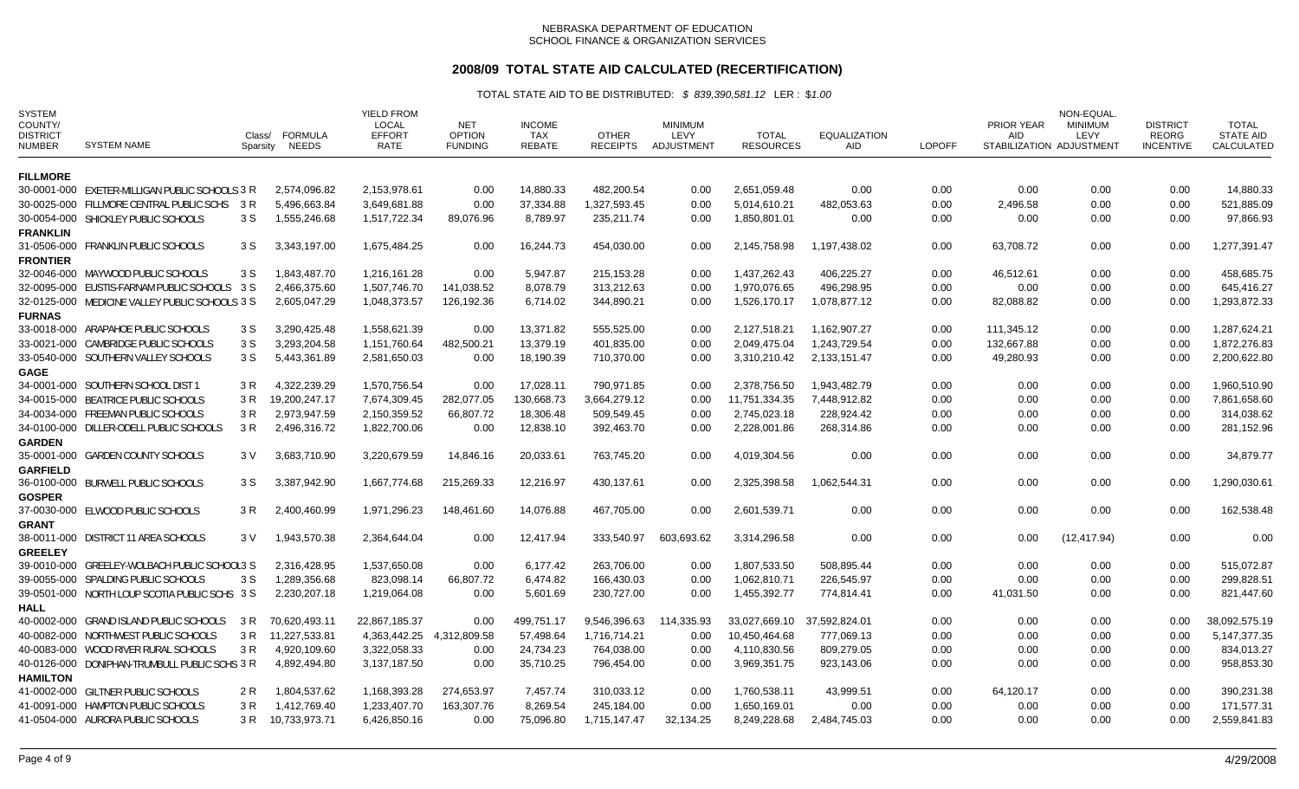# **2008/09 TOTAL STATE AID CALCULATED (RECERTIFICATION)**

| <b>SYSTEM</b><br>COUNTY/<br><b>DISTRICT</b><br><b>NUMBER</b> | <b>SYSTEM NAME</b>                             | Class/<br>Sparsity | <b>FORMULA</b><br><b>NEEDS</b> | <b>YIELD FROM</b><br>LOCAL<br><b>EFFORT</b><br>RATE | <b>NET</b><br><b>OPTION</b><br><b>FUNDING</b> | <b>INCOME</b><br>TAX<br><b>REBATE</b> | <b>OTHER</b><br><b>RECEIPTS</b> | <b>MINIMUM</b><br>LEVY<br>ADJUSTMENT | <b>TOTAL</b><br><b>RESOURCES</b> | EQUALIZATION<br>AID | <b>LOPOFF</b> | PRIOR YEAR<br><b>AID</b> | NON-EQUAL<br><b>MINIMUM</b><br>LEVY<br>STABILIZATION ADJUSTMENT | <b>DISTRICT</b><br><b>REORG</b><br><b>INCENTIVE</b> | <b>TOTAL</b><br><b>STATE AID</b><br>CALCULATED |
|--------------------------------------------------------------|------------------------------------------------|--------------------|--------------------------------|-----------------------------------------------------|-----------------------------------------------|---------------------------------------|---------------------------------|--------------------------------------|----------------------------------|---------------------|---------------|--------------------------|-----------------------------------------------------------------|-----------------------------------------------------|------------------------------------------------|
| <b>FILLMORE</b>                                              |                                                |                    |                                |                                                     |                                               |                                       |                                 |                                      |                                  |                     |               |                          |                                                                 |                                                     |                                                |
|                                                              | 30-0001-000 EXETER-MILLIGAN PUBLIC SCHOOLS 3 R |                    | 2,574,096.82                   | 2,153,978.61                                        | 0.00                                          | 14,880.33                             | 482,200.54                      | 0.00                                 | 2,651,059.48                     | 0.00                | 0.00          | 0.00                     | 0.00                                                            | 0.00                                                | 14,880.33                                      |
|                                                              | 30-0025-000 FILLMORE CENTRAL PUBLIC SCHS       | 3 R                | 5,496,663.84                   | 3,649,681.88                                        | 0.00                                          | 37,334.88                             | 1,327,593.45                    | 0.00                                 | 5,014,610.21                     | 482,053.63          | 0.00          | 2,496.58                 | 0.00                                                            | 0.00                                                | 521,885.09                                     |
|                                                              | 30-0054-000 SHICKLEY PUBLIC SCHOOLS            | 3 S                | 1,555,246.68                   | 1,517,722.34                                        | 89,076.96                                     | 8,789.97                              | 235,211.74                      | 0.00                                 | 1,850,801.01                     | 0.00                | 0.00          | 0.00                     | 0.00                                                            | 0.00                                                | 97,866.93                                      |
| <b>FRANKLIN</b>                                              |                                                |                    |                                |                                                     |                                               |                                       |                                 |                                      |                                  |                     |               |                          |                                                                 |                                                     |                                                |
|                                                              | 31-0506-000 FRANKLIN PUBLIC SCHOOLS            | 3 S                | 3,343,197.00                   | 1,675,484.25                                        | 0.00                                          | 16,244.73                             | 454,030.00                      | 0.00                                 | 2,145,758.98                     | 1,197,438.02        | 0.00          | 63,708.72                | 0.00                                                            | 0.00                                                | 1,277,391.47                                   |
| <b>FRONTIER</b>                                              |                                                |                    |                                |                                                     |                                               |                                       |                                 |                                      |                                  |                     |               |                          |                                                                 |                                                     |                                                |
|                                                              | 32-0046-000 MAYWOOD PUBLIC SCHOOLS             | 3 S                | 1,843,487.70                   | 1.216.161.28                                        | 0.00                                          | 5,947.87                              | 215,153.28                      | 0.00                                 | 1.437.262.43                     | 406.225.27          | 0.00          | 46.512.61                | 0.00                                                            | 0.00                                                | 458,685.75                                     |
|                                                              | 32-0095-000 EUSTIS-FARNAM PUBLIC SCHOOLS 3 S   |                    | 2,466,375.60                   | 1,507,746.70                                        | 141,038.52                                    | 8,078.79                              | 313,212.63                      | 0.00                                 | 1.970.076.65                     | 496,298.95          | 0.00          | 0.00                     | 0.00                                                            | 0.00                                                | 645,416.27                                     |
|                                                              | 32-0125-000 MEDICINE VALLEY PUBLIC SCHOOLS 3 S |                    | 2,605,047.29                   | 1,048,373.57                                        | 126,192.36                                    | 6,714.02                              | 344,890.21                      | 0.00                                 | 1,526,170.17                     | 1,078,877.12        | 0.00          | 82,088.82                | 0.00                                                            | 0.00                                                | 1,293,872.33                                   |
| <b>FURNAS</b>                                                |                                                |                    |                                |                                                     |                                               |                                       |                                 |                                      |                                  |                     |               |                          |                                                                 |                                                     |                                                |
|                                                              | 33-0018-000 ARAPAHOE PUBLIC SCHOOLS            | 3 S                | 3,290,425.48                   | 1,558,621.39                                        | 0.00                                          | 13,371.82                             | 555,525.00                      | 0.00                                 | 2,127,518.21                     | 1,162,907.27        | 0.00          | 111,345.12               | 0.00                                                            | 0.00                                                | 1,287,624.21                                   |
|                                                              | 33-0021-000 CAMBRIDGE PUBLIC SCHOOLS           | 3 S                | 3,293,204.58                   | 1,151,760.64                                        | 482,500.21                                    | 13,379.19                             | 401,835.00                      | 0.00                                 | 2,049,475.04                     | 1,243,729.54        | 0.00          | 132,667.88               | 0.00                                                            | 0.00                                                | 1,872,276.83                                   |
|                                                              | 33-0540-000 SOUTHERN VALLEY SCHOOLS            | 3 S                | 5,443,361.89                   | 2,581,650.03                                        | 0.00                                          | 18,190.39                             | 710,370.00                      | 0.00                                 | 3,310,210.42                     | 2,133,151.47        | 0.00          | 49,280.93                | 0.00                                                            | 0.00                                                | 2,200,622.80                                   |
| <b>GAGE</b>                                                  |                                                |                    |                                |                                                     |                                               |                                       |                                 |                                      |                                  |                     |               |                          |                                                                 |                                                     |                                                |
|                                                              | 34-0001-000 SOUTHERN SCHOOL DIST 1             | 3 R                | 4,322,239.29                   | 1,570,756.54                                        | 0.00                                          | 17,028.11                             | 790,971.85                      | 0.00                                 | 2,378,756.50                     | 1,943,482.79        | 0.00          | 0.00                     | 0.00                                                            | 0.00                                                | 1,960,510.90                                   |
|                                                              | 34-0015-000 BEATRICE PUBLIC SCHOOLS            | 3 R                | 19,200,247.17                  | 7,674,309.45                                        | 282,077.05                                    | 130,668.73                            | 3,664,279.12                    | 0.00                                 | 11,751,334.35                    | 7,448,912.82        | 0.00          | 0.00                     | 0.00                                                            | 0.00                                                | 7,861,658.60                                   |
|                                                              | 34-0034-000 FREEMAN PUBLIC SCHOOLS             | 3 R                | 2,973,947.59                   | 2,150,359.52                                        | 66,807.72                                     | 18,306.48                             | 509,549.45                      | 0.00                                 | 2,745,023.18                     | 228,924.42          | 0.00          | 0.00                     | 0.00                                                            | 0.00                                                | 314,038.62                                     |
|                                                              | 34-0100-000 DILLER-ODELL PUBLIC SCHOOLS        | 3 R                | 2,496,316.72                   | 1,822,700.06                                        | 0.00                                          | 12,838.10                             | 392,463.70                      | 0.00                                 | 2,228,001.86                     | 268,314.86          | 0.00          | 0.00                     | 0.00                                                            | 0.00                                                | 281,152.96                                     |
| <b>GARDEN</b>                                                |                                                |                    |                                |                                                     |                                               |                                       |                                 |                                      |                                  |                     |               |                          |                                                                 |                                                     |                                                |
|                                                              | 35-0001-000 GARDEN COUNTY SCHOOLS              | 3 V                | 3,683,710.90                   | 3,220,679.59                                        | 14,846.16                                     | 20,033.61                             | 763,745.20                      | 0.00                                 | 4,019,304.56                     | 0.00                | 0.00          | 0.00                     | 0.00                                                            | 0.00                                                | 34,879.77                                      |
| <b>GARFIELD</b>                                              |                                                |                    |                                |                                                     |                                               |                                       |                                 |                                      |                                  |                     |               |                          |                                                                 |                                                     |                                                |
|                                                              | 36-0100-000 BURWELL PUBLIC SCHOOLS             | 3 S                | 3,387,942.90                   | 1,667,774.68                                        | 215,269.33                                    | 12,216.97                             | 430,137.61                      | 0.00                                 | 2,325,398.58                     | 1,062,544.31        | 0.00          | 0.00                     | 0.00                                                            | 0.00                                                | 1,290,030.61                                   |
| <b>GOSPER</b>                                                |                                                |                    |                                |                                                     |                                               |                                       |                                 |                                      |                                  |                     |               |                          |                                                                 |                                                     |                                                |
|                                                              | 37-0030-000 ELWOOD PUBLIC SCHOOLS              | 3 R                | 2,400,460.99                   | 1,971,296.23                                        | 148,461.60                                    | 14,076.88                             | 467,705.00                      | 0.00                                 | 2,601,539.71                     | 0.00                | 0.00          | 0.00                     | 0.00                                                            | 0.00                                                | 162,538.48                                     |
| <b>GRANT</b>                                                 |                                                |                    |                                |                                                     |                                               |                                       |                                 |                                      |                                  |                     |               |                          |                                                                 |                                                     |                                                |
|                                                              | 38-0011-000 DISTRICT 11 AREA SCHOOLS           | 3 V                | 1,943,570.38                   | 2,364,644.04                                        | 0.00                                          | 12,417.94                             | 333,540.97                      | 603,693.62                           | 3,314,296.58                     | 0.00                | 0.00          | 0.00                     | (12, 417.94)                                                    | 0.00                                                | 0.00                                           |
| <b>GREELEY</b>                                               | 39-0010-000 GREELEY-WOLBACH PUBLIC SCHOOL3 S   |                    | 2,316,428.95                   | 1,537,650.08                                        | 0.00                                          | 6,177.42                              | 263,706.00                      | 0.00                                 | 1,807,533.50                     | 508,895.44          | 0.00          | 0.00                     | 0.00                                                            | 0.00                                                | 515,072.87                                     |
|                                                              | 39-0055-000 SPALDING PUBLIC SCHOOLS            | 3 S                | 1,289,356.68                   | 823,098.14                                          | 66,807.72                                     | 6,474.82                              | 166,430.03                      | 0.00                                 | 1,062,810.71                     | 226,545.97          | 0.00          | 0.00                     | 0.00                                                            | 0.00                                                | 299,828.51                                     |
|                                                              | 39-0501-000 NORTH LOUP SCOTIA PUBLIC SCHS 3 S  |                    | 2,230,207.18                   | 1,219,064.08                                        | 0.00                                          | 5,601.69                              | 230,727.00                      | 0.00                                 | 1,455,392.77                     | 774,814.41          | 0.00          | 41,031.50                | 0.00                                                            | 0.00                                                | 821,447.60                                     |
| <b>HALL</b>                                                  |                                                |                    |                                |                                                     |                                               |                                       |                                 |                                      |                                  |                     |               |                          |                                                                 |                                                     |                                                |
|                                                              | 40-0002-000 GRAND ISLAND PUBLIC SCHOOLS        | 3 R                | 70,620,493.11                  | 22,867,185.37                                       | 0.00                                          | 499,751.17                            | 9,546,396.63                    | 114,335.93                           | 33,027,669.10                    | 37,592,824.01       | 0.00          | 0.00                     | 0.00                                                            | 0.00                                                | 38,092,575.19                                  |
|                                                              | 40-0082-000 NORTHWEST PUBLIC SCHOOLS           | 3 R                | 11,227,533.81                  | 4,363,442.25                                        | 4,312,809.58                                  | 57,498.64                             | 1,716,714.21                    | 0.00                                 | 10,450,464.68                    | 777,069.13          | 0.00          | 0.00                     | 0.00                                                            | 0.00                                                | 5, 147, 377. 35                                |
|                                                              | 40-0083-000 WOOD RIVER RURAL SCHOOLS           | 3 R                | 4,920,109.60                   | 3,322,058.33                                        | 0.00                                          | 24,734.23                             | 764,038.00                      | 0.00                                 | 4,110,830.56                     | 809,279.05          | 0.00          | 0.00                     | 0.00                                                            | 0.00                                                | 834,013.27                                     |
|                                                              | 40-0126-000 DONIPHAN-TRUMBULL PUBLIC SCHS 3 R  |                    | 4,892,494.80                   | 3,137,187.50                                        | 0.00                                          | 35,710.25                             | 796,454.00                      | 0.00                                 | 3,969,351.75                     | 923,143.06          | 0.00          | 0.00                     | 0.00                                                            | 0.00                                                | 958,853.30                                     |
| <b>HAMILTON</b>                                              |                                                |                    |                                |                                                     |                                               |                                       |                                 |                                      |                                  |                     |               |                          |                                                                 |                                                     |                                                |
|                                                              | 41-0002-000 GILTNER PUBLIC SCHOOLS             | 2 R                | 1,804,537.62                   | 1,168,393.28                                        | 274,653.97                                    | 7,457.74                              | 310,033.12                      | 0.00                                 | 1,760,538.11                     | 43,999.51           | 0.00          | 64,120.17                | 0.00                                                            | 0.00                                                | 390,231.38                                     |
|                                                              | 41-0091-000 HAMPTON PUBLIC SCHOOLS             | 3 R                | 1,412,769.40                   | 1,233,407.70                                        | 163,307.76                                    | 8,269.54                              | 245.184.00                      | 0.00                                 | 1,650,169.01                     | 0.00                | 0.00          | 0.00                     | 0.00                                                            | 0.00                                                | 171,577.31                                     |
|                                                              | 41-0504-000 AURORA PUBLIC SCHOOLS              | 3 R                | 10,733,973.71                  | 6,426,850.16                                        | 0.00                                          | 75,096.80                             | 1,715,147.47                    | 32,134.25                            | 8,249,228.68                     | 2.484.745.03        | 0.00          | 0.00                     | 0.00                                                            | 0.00                                                | 2,559,841.83                                   |
|                                                              |                                                |                    |                                |                                                     |                                               |                                       |                                 |                                      |                                  |                     |               |                          |                                                                 |                                                     |                                                |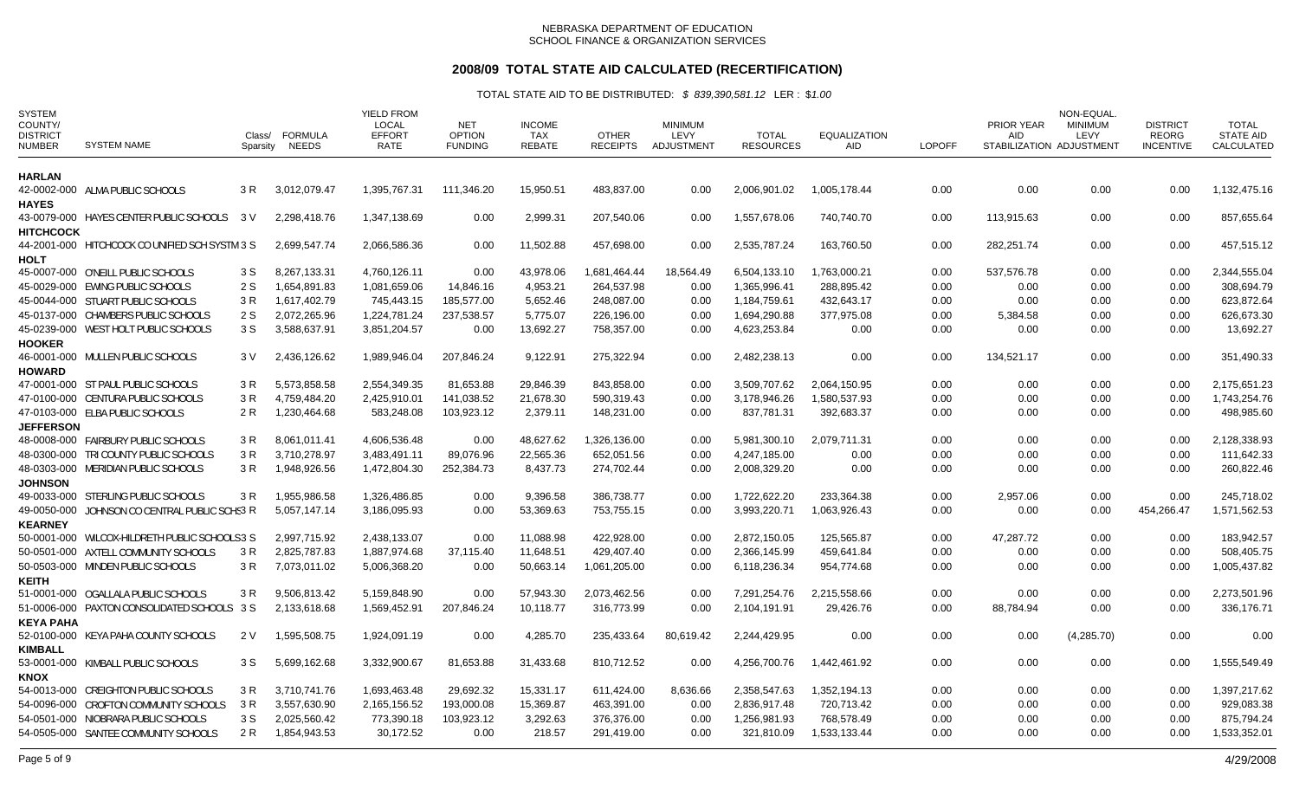# **2008/09 TOTAL STATE AID CALCULATED (RECERTIFICATION)**

| <b>SYSTEM</b><br>COUNTY/<br><b>DISTRICT</b><br><b>NUMBER</b> | <b>SYSTEM NAME</b>                             | Class/<br>Sparsity | <b>FORMULA</b><br>NEEDS | <b>YIELD FROM</b><br><b>LOCAL</b><br><b>EFFORT</b><br>RATE | <b>NET</b><br><b>OPTION</b><br><b>FUNDING</b> | <b>INCOME</b><br><b>TAX</b><br><b>REBATE</b> | <b>OTHER</b><br><b>RECEIPTS</b> | <b>MINIMUM</b><br>LEVY<br>ADJUSTMENT | <b>TOTAL</b><br><b>RESOURCES</b> | <b>EQUALIZATION</b><br>AID | <b>LOPOFF</b> | PRIOR YEAR<br><b>AID</b> | NON-EQUAL<br><b>MINIMUM</b><br>LEVY<br>STABILIZATION ADJUSTMENT | <b>DISTRICT</b><br>REORG<br><b>INCENTIVE</b> | <b>TOTAL</b><br><b>STATE AID</b><br>CALCULATED |
|--------------------------------------------------------------|------------------------------------------------|--------------------|-------------------------|------------------------------------------------------------|-----------------------------------------------|----------------------------------------------|---------------------------------|--------------------------------------|----------------------------------|----------------------------|---------------|--------------------------|-----------------------------------------------------------------|----------------------------------------------|------------------------------------------------|
| HARLAN                                                       |                                                |                    |                         |                                                            |                                               |                                              |                                 |                                      |                                  |                            |               |                          |                                                                 |                                              |                                                |
| <b>HAYES</b>                                                 | 42-0002-000 ALMA PUBLIC SCHOOLS                | 3 R                | 3,012,079.47            | 1,395,767.31                                               | 111,346.20                                    | 15,950.51                                    | 483,837.00                      | 0.00                                 | 2,006,901.02                     | 1,005,178.44               | 0.00          | 0.00                     | 0.00                                                            | 0.00                                         | 1,132,475.16                                   |
| <b>HITCHCOCK</b>                                             | 43-0079-000 HAYES CENTER PUBLIC SCHOOLS        | 3V                 | 2,298,418.76            | 1,347,138.69                                               | 0.00                                          | 2,999.31                                     | 207,540.06                      | 0.00                                 | 1,557,678.06                     | 740,740.70                 | 0.00          | 113,915.63               | 0.00                                                            | 0.00                                         | 857,655.64                                     |
| <b>HOLT</b>                                                  | 44-2001-000 HITCHCOCK CO UNIFIED SCH SYSTM 3 S |                    | 2,699,547.74            | 2,066,586.36                                               | 0.00                                          | 11,502.88                                    | 457,698.00                      | 0.00                                 | 2,535,787.24                     | 163,760.50                 | 0.00          | 282,251.74               | 0.00                                                            | 0.00                                         | 457,515.12                                     |
|                                                              | 45-0007-000 O'NEILL PUBLIC SCHOOLS             | 3 S                | 8,267,133.31            | 4,760,126.11                                               | 0.00                                          | 43,978.06                                    | 1,681,464.44                    | 18,564.49                            | 6,504,133.10                     | 1,763,000.21               | 0.00          | 537,576.78               | 0.00                                                            | 0.00                                         | 2,344,555.04                                   |
|                                                              | 45-0029-000 EWING PUBLIC SCHOOLS               | 2 S                | 1,654,891.83            | 1,081,659.06                                               | 14,846.16                                     | 4,953.21                                     | 264,537.98                      | 0.00                                 | 1,365,996.41                     | 288,895.42                 | 0.00          | 0.00                     | 0.00                                                            | 0.00                                         | 308,694.79                                     |
|                                                              | 45-0044-000 STUART PUBLIC SCHOOLS              | 3 R                | 1,617,402.79            | 745,443.15                                                 | 185,577.00                                    | 5,652.46                                     | 248,087.00                      | 0.00                                 | 1,184,759.61                     | 432,643.17                 | 0.00          | 0.00                     | 0.00                                                            | 0.00                                         | 623,872.64                                     |
|                                                              | 45-0137-000 CHAMBERS PUBLIC SCHOOLS            | 2 S                | 2,072,265.96            | 1,224,781.24                                               | 237,538.57                                    | 5,775.07                                     | 226,196.00                      | 0.00                                 | 1,694,290.88                     | 377,975.08                 | 0.00          | 5,384.58                 | 0.00                                                            | 0.00                                         | 626,673.30                                     |
|                                                              | 45-0239-000 WEST HOLT PUBLIC SCHOOLS           | 3 S                | 3,588,637.91            | 3,851,204.57                                               | 0.00                                          | 13,692.27                                    | 758,357.00                      | 0.00                                 | 4,623,253.84                     | 0.00                       | 0.00          | 0.00                     | 0.00                                                            | 0.00                                         | 13,692.27                                      |
| <b>HOOKER</b>                                                |                                                |                    |                         |                                                            |                                               |                                              |                                 |                                      |                                  |                            |               |                          |                                                                 |                                              |                                                |
| <b>HOWARD</b>                                                | 46-0001-000 MULLEN PUBLIC SCHOOLS              | 3 V                | 2,436,126.62            | 1,989,946.04                                               | 207,846.24                                    | 9,122.91                                     | 275,322.94                      | 0.00                                 | 2,482,238.13                     | 0.00                       | 0.00          | 134,521.17               | 0.00                                                            | 0.00                                         | 351,490.33                                     |
|                                                              | 47-0001-000 ST PAUL PUBLIC SCHOOLS             | 3 R                | 5.573.858.58            | 2.554.349.35                                               | 81,653.88                                     | 29,846.39                                    | 843.858.00                      | 0.00                                 | 3.509.707.62                     | 2.064.150.95               | 0.00          | 0.00                     | 0.00                                                            | 0.00                                         | 2,175,651.23                                   |
|                                                              | 47-0100-000 CENTURA PUBLIC SCHOOLS             | 3 R                | 4,759,484.20            | 2,425,910.01                                               | 141,038.52                                    | 21,678.30                                    | 590,319.43                      | 0.00                                 | 3,178,946.26                     | 1,580,537.93               | 0.00          | 0.00                     | 0.00                                                            | 0.00                                         | 1,743,254.76                                   |
|                                                              | 47-0103-000 ELBA PUBLIC SCHOOLS                | 2R                 | 1,230,464.68            | 583,248.08                                                 | 103,923.12                                    | 2,379.11                                     | 148,231.00                      | 0.00                                 | 837,781.31                       | 392,683.37                 | 0.00          | 0.00                     | 0.00                                                            | 0.00                                         | 498,985.60                                     |
| <b>JEFFERSON</b>                                             |                                                |                    |                         |                                                            |                                               |                                              |                                 |                                      |                                  |                            |               |                          |                                                                 |                                              |                                                |
|                                                              | 48-0008-000 FAIRBURY PUBLIC SCHOOLS            | 3 R                | 8,061,011.41            | 4,606,536.48                                               | 0.00                                          | 48,627.62                                    | 1,326,136.00                    | 0.00                                 | 5,981,300.10                     | 2,079,711.31               | 0.00          | 0.00                     | 0.00                                                            | 0.00                                         | 2,128,338.93                                   |
|                                                              | 48-0300-000 TRI COUNTY PUBLIC SCHOOLS          | 3 R                | 3,710,278.97            | 3,483,491.11                                               | 89,076.96                                     | 22,565.36                                    | 652,051.56                      | 0.00                                 | 4,247,185.00                     | 0.00                       | 0.00          | 0.00                     | 0.00                                                            | 0.00                                         | 111,642.33                                     |
|                                                              | 48-0303-000 MERIDIAN PUBLIC SCHOOLS            | 3 R                | 1,948,926.56            | 1,472,804.30                                               | 252,384.73                                    | 8,437.73                                     | 274,702.44                      | 0.00                                 | 2,008,329.20                     | 0.00                       | 0.00          | 0.00                     | 0.00                                                            | 0.00                                         | 260,822.46                                     |
| <b>JOHNSON</b>                                               |                                                |                    |                         |                                                            |                                               |                                              |                                 |                                      |                                  |                            |               |                          |                                                                 |                                              |                                                |
|                                                              | 49-0033-000 STERLING PUBLIC SCHOOLS            | 3R                 | 1,955,986.58            | 1,326,486.85                                               | 0.00                                          | 9,396.58                                     | 386,738.77                      | 0.00                                 | 1,722,622.20                     | 233,364.38                 | 0.00          | 2,957.06                 | 0.00                                                            | 0.00                                         | 245,718.02                                     |
|                                                              | 49-0050-000 JOHNSON CO CENTRAL PUBLIC SCHS3 R  |                    | 5,057,147.14            | 3,186,095.93                                               | 0.00                                          | 53,369.63                                    | 753,755.15                      | 0.00                                 | 3,993,220.71                     | 1,063,926.43               | 0.00          | 0.00                     | 0.00                                                            | 454,266.47                                   | 1,571,562.53                                   |
| <b>KEARNEY</b>                                               |                                                |                    |                         |                                                            |                                               |                                              |                                 |                                      |                                  |                            |               |                          |                                                                 |                                              |                                                |
|                                                              | 50-0001-000 WILCOX-HILDRETH PUBLIC SCHOOLS3 S  |                    | 2.997.715.92            | 2.438.133.07                                               | 0.00                                          | 11,088.98                                    | 422,928.00                      | 0.00                                 | 2,872,150.05                     | 125,565.87                 | 0.00          | 47,287.72                | 0.00                                                            | 0.00                                         | 183,942.57                                     |
|                                                              | 50-0501-000 AXTELL COMMUNITY SCHOOLS           | 3 R                | 2,825,787.83            | 1,887,974.68                                               | 37,115.40                                     | 11,648.51                                    | 429,407.40                      | 0.00                                 | 2,366,145.99                     | 459,641.84                 | 0.00          | 0.00                     | 0.00                                                            | 0.00                                         | 508,405.75                                     |
| <b>KEITH</b>                                                 | 50-0503-000 MINDEN PUBLIC SCHOOLS              | 3R                 | 7,073,011.02            | 5,006,368.20                                               | 0.00                                          | 50,663.14                                    | 1,061,205.00                    | 0.00                                 | 6,118,236.34                     | 954,774.68                 | 0.00          | 0.00                     | 0.00                                                            | 0.00                                         | 1,005,437.82                                   |
|                                                              | 51-0001-000 OGALLALA PUBLIC SCHOOLS            | 3 R                | 9,506,813.42            | 5,159,848.90                                               | 0.00                                          | 57,943.30                                    | 2,073,462.56                    | 0.00                                 | 7,291,254.76                     | 2,215,558.66               | 0.00          | 0.00                     | 0.00                                                            | 0.00                                         | 2,273,501.96                                   |
|                                                              | 51-0006-000 PAXTON CONSOLIDATED SCHOOLS 3 S    |                    | 2,133,618.68            | 1,569,452.91                                               | 207,846.24                                    | 10,118.77                                    | 316,773.99                      | 0.00                                 | 2,104,191.91                     | 29,426.76                  | 0.00          | 88,784.94                | 0.00                                                            | 0.00                                         | 336,176.71                                     |
| <b>KEYA PAHA</b>                                             |                                                |                    |                         |                                                            |                                               |                                              |                                 |                                      |                                  |                            |               |                          |                                                                 |                                              |                                                |
| <b>KIMBALL</b>                                               | 52-0100-000 KEYA PAHA COUNTY SCHOOLS           | 2 V                | 1,595,508.75            | 1,924,091.19                                               | 0.00                                          | 4,285.70                                     | 235,433.64                      | 80,619.42                            | 2,244,429.95                     | 0.00                       | 0.00          | 0.00                     | (4,285.70)                                                      | 0.00                                         | 0.00                                           |
| KNOX                                                         | 53-0001-000 KIMBALL PUBLIC SCHOOLS             | 3 S                | 5,699,162.68            | 3,332,900.67                                               | 81,653.88                                     | 31,433.68                                    | 810,712.52                      | 0.00                                 | 4.256.700.76                     | 1,442,461.92               | 0.00          | 0.00                     | 0.00                                                            | 0.00                                         | 1,555,549.49                                   |
|                                                              | 54-0013-000 CREIGHTON PUBLIC SCHOOLS           | 3 R                | 3,710,741.76            | 1,693,463.48                                               | 29,692.32                                     | 15,331.17                                    | 611,424.00                      | 8,636.66                             | 2,358,547.63                     | 1,352,194.13               | 0.00          | 0.00                     | 0.00                                                            | 0.00                                         | 1,397,217.62                                   |
|                                                              | 54-0096-000 CROFTON COMMUNITY SCHOOLS          | 3 R                | 3,557,630.90            | 2,165,156.52                                               | 193,000.08                                    | 15,369.87                                    | 463,391.00                      | 0.00                                 | 2,836,917.48                     | 720,713.42                 | 0.00          | 0.00                     | 0.00                                                            | 0.00                                         | 929,083.38                                     |
|                                                              | 54-0501-000 NIOBRARA PUBLIC SCHOOLS            | 3 S                | 2,025,560.42            | 773,390.18                                                 | 103,923.12                                    | 3,292.63                                     | 376,376.00                      | 0.00                                 | 1,256,981.93                     | 768,578.49                 | 0.00          | 0.00                     | 0.00                                                            | 0.00                                         | 875,794.24                                     |
|                                                              | 54-0505-000 SANTEE COMMUNITY SCHOOLS           | 2 R                | 1,854,943.53            | 30,172.52                                                  | 0.00                                          | 218.57                                       | 291,419.00                      | 0.00                                 | 321,810.09                       | 1,533,133.44               | 0.00          | 0.00                     | 0.00                                                            | 0.00                                         | 1,533,352.01                                   |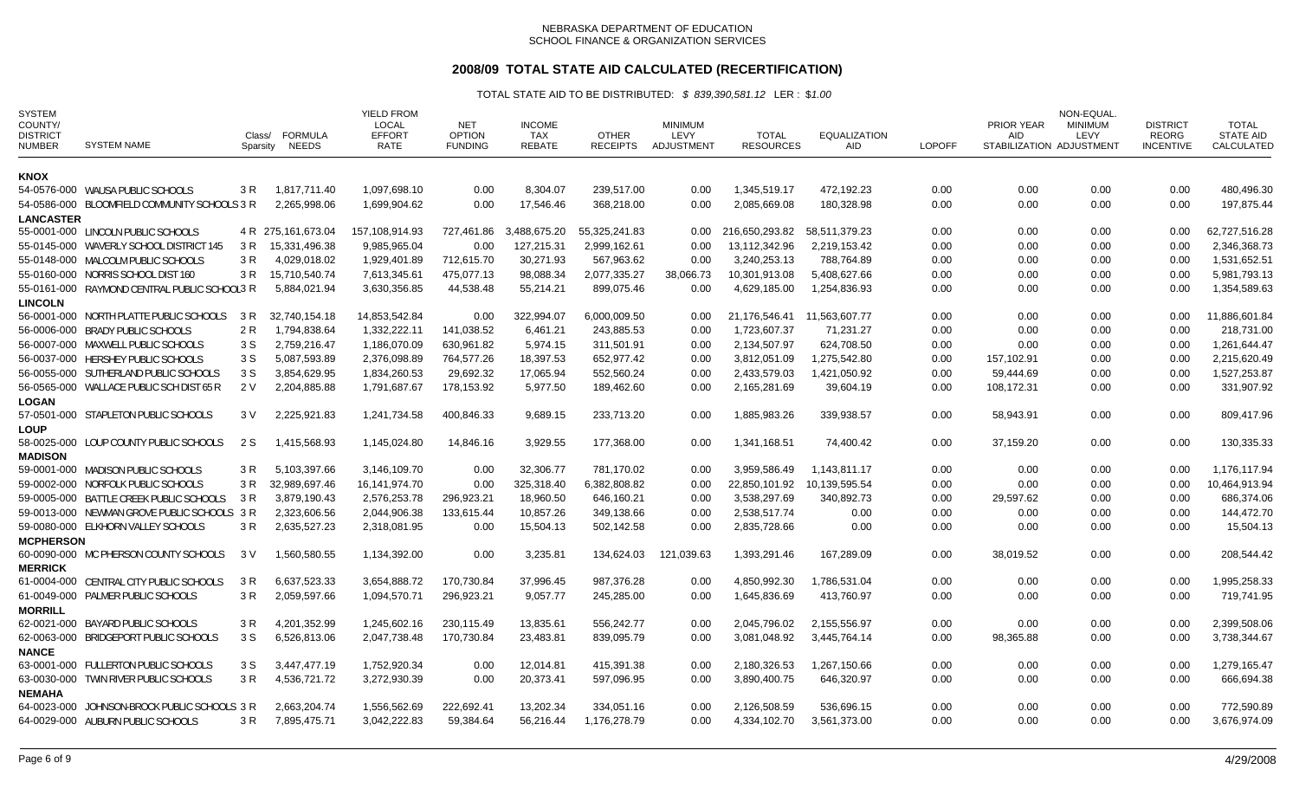# **2008/09 TOTAL STATE AID CALCULATED (RECERTIFICATION)**

| <b>SYSTEM</b><br>COUNTY/<br><b>DISTRICT</b><br><b>NUMBER</b> | <b>SYSTEM NAME</b>                           | Class/<br>Sparsity | <b>FORMULA</b><br><b>NEEDS</b> | <b>YIELD FROM</b><br>LOCAL<br><b>EFFORT</b><br><b>RATE</b> | <b>NET</b><br><b>OPTION</b><br><b>FUNDING</b> | <b>INCOME</b><br><b>TAX</b><br><b>REBATE</b> | <b>OTHER</b><br><b>RECEIPTS</b> | <b>MINIMUM</b><br>LEVY<br>ADJUSTMENT | <b>TOTAL</b><br><b>RESOURCES</b> | <b>EQUALIZATION</b><br>AID | <b>LOPOFF</b> | <b>PRIOR YEAR</b><br><b>AID</b><br>STABILIZATION ADJUSTMENT | NON-EQUAL<br><b>MINIMUM</b><br>LEVY | <b>DISTRICT</b><br><b>REORG</b><br><b>INCENTIVE</b> | TOTAL<br><b>STATE AID</b><br>CALCULATED |
|--------------------------------------------------------------|----------------------------------------------|--------------------|--------------------------------|------------------------------------------------------------|-----------------------------------------------|----------------------------------------------|---------------------------------|--------------------------------------|----------------------------------|----------------------------|---------------|-------------------------------------------------------------|-------------------------------------|-----------------------------------------------------|-----------------------------------------|
| <b>KNOX</b>                                                  |                                              |                    |                                |                                                            |                                               |                                              |                                 |                                      |                                  |                            |               |                                                             |                                     |                                                     |                                         |
|                                                              | 54-0576-000 WAUSA PUBLIC SCHOOLS             | 3 R                | 1,817,711.40                   | 1,097,698.10                                               | 0.00                                          | 8,304.07                                     | 239,517.00                      | 0.00                                 | 1,345,519.17                     | 472,192.23                 | 0.00          | 0.00                                                        | 0.00                                | 0.00                                                | 480,496.30                              |
|                                                              | 54-0586-000 BLOOMFIELD COMMUNITY SCHOOLS 3 R |                    | 2,265,998.06                   | 1,699,904.62                                               | 0.00                                          | 17,546.46                                    | 368,218.00                      | 0.00                                 | 2,085,669.08                     | 180,328.98                 | 0.00          | 0.00                                                        | 0.00                                | 0.00                                                | 197,875.44                              |
| <b>LANCASTER</b>                                             |                                              |                    |                                |                                                            |                                               |                                              |                                 |                                      |                                  |                            |               |                                                             |                                     |                                                     |                                         |
|                                                              | 55-0001-000 LINCOLN PUBLIC SCHOOLS           |                    | 4 R 275, 161, 673.04           | 157,108,914.93                                             | 727,461.86                                    | 3,488,675.20                                 | 55.325.241.83                   | 0.00                                 | 216,650,293.82                   | 58.511.379.23              | 0.00          | 0.00                                                        | 0.00                                | 0.00                                                | 62.727.516.28                           |
|                                                              | 55-0145-000 WAVERLY SCHOOL DISTRICT 145      | 3 R                | 15,331,496.38                  | 9,985,965.04                                               | 0.00                                          | 127,215.31                                   | 2,999,162.61                    | 0.00                                 | 13,112,342.96                    | 2,219,153.42               | 0.00          | 0.00                                                        | 0.00                                | 0.00                                                | 2,346,368.73                            |
|                                                              | 55-0148-000 MALCOLM PUBLIC SCHOOLS           | 3 R                | 4,029,018.02                   | 1,929,401.89                                               | 712,615.70                                    | 30,271.93                                    | 567,963.62                      | 0.00                                 | 3,240,253.13                     | 788,764.89                 | 0.00          | 0.00                                                        | 0.00                                | 0.00                                                | 1,531,652.51                            |
|                                                              | 55-0160-000 NORRIS SCHOOL DIST 160           | 3 R                | 15,710,540.74                  | 7,613,345.61                                               | 475,077.13                                    | 98,088.34                                    | 2,077,335.27                    | 38,066.73                            | 10,301,913.08                    | 5,408,627.66               | 0.00          | 0.00                                                        | 0.00                                | 0.00                                                | 5,981,793.13                            |
|                                                              | 55-0161-000 RAYMOND CENTRAL PUBLIC SCHOOL3 R |                    | 5,884,021.94                   | 3,630,356.85                                               | 44,538.48                                     | 55,214.21                                    | 899,075.46                      | 0.00                                 | 4,629,185.00                     | 1,254,836.93               | 0.00          | 0.00                                                        | 0.00                                | 0.00                                                | 1,354,589.63                            |
| <b>LINCOLN</b>                                               |                                              |                    |                                |                                                            |                                               |                                              |                                 |                                      |                                  |                            |               |                                                             |                                     |                                                     |                                         |
|                                                              | 56-0001-000 NORTH PLATTE PUBLIC SCHOOLS      | 3 R                | 32,740,154.18                  | 14,853,542.84                                              | 0.00                                          | 322,994.07                                   | 6,000,009.50                    | $0.00\,$                             | 21,176,546.41 11,563,607.77      |                            | 0.00          | 0.00                                                        | 0.00                                | 0.00                                                | 11,886,601.84                           |
|                                                              | 56-0006-000 BRADY PUBLIC SCHOOLS             | 2 R                | 1,794,838.64                   | 1,332,222.11                                               | 141,038.52                                    | 6,461.21                                     | 243,885.53                      | 0.00                                 | 1,723,607.37                     | 71,231.27                  | 0.00          | 0.00                                                        | 0.00                                | 0.00                                                | 218,731.00                              |
|                                                              | 56-0007-000 MAXWELL PUBLIC SCHOOLS           | 3 S                | 2,759,216.47                   | 1.186.070.09                                               | 630.961.82                                    | 5.974.15                                     | 311.501.91                      | 0.00                                 | 2.134.507.97                     | 624,708.50                 | 0.00          | 0.00                                                        | 0.00                                | 0.00                                                | 1,261,644.47                            |
|                                                              | 56-0037-000 HERSHEY PUBLIC SCHOOLS           | 3 S                | 5,087,593.89                   | 2,376,098.89                                               | 764,577.26                                    | 18,397.53                                    | 652,977.42                      | 0.00                                 | 3,812,051.09                     | 1,275,542.80               | 0.00          | 157,102.91                                                  | 0.00                                | 0.00                                                | 2,215,620.49                            |
|                                                              | 56-0055-000 SUTHERLAND PUBLIC SCHOOLS        | 3 S                | 3,854,629.95                   | 1,834,260.53                                               | 29,692.32                                     | 17,065.94                                    | 552,560.24                      | 0.00                                 | 2,433,579.03                     | 1,421,050.92               | 0.00          | 59,444.69                                                   | 0.00                                | 0.00                                                | 1,527,253.87                            |
|                                                              | 56-0565-000 WALLACE PUBLIC SCH DIST 65 R     | 2 V                | 2,204,885.88                   | 1,791,687.67                                               | 178,153.92                                    | 5,977.50                                     | 189.462.60                      | 0.00                                 | 2,165,281.69                     | 39,604.19                  | 0.00          | 108,172.31                                                  | 0.00                                | 0.00                                                | 331,907.92                              |
| <b>LOGAN</b>                                                 |                                              |                    |                                |                                                            |                                               |                                              |                                 |                                      |                                  |                            |               |                                                             |                                     |                                                     |                                         |
|                                                              | 57-0501-000 STAPLETON PUBLIC SCHOOLS         | 3 V                | 2,225,921.83                   | 1,241,734.58                                               | 400,846.33                                    | 9,689.15                                     | 233,713.20                      | 0.00                                 | 1,885,983.26                     | 339,938.57                 | 0.00          | 58,943.91                                                   | 0.00                                | 0.00                                                | 809,417.96                              |
| <b>LOUP</b>                                                  |                                              |                    |                                |                                                            |                                               |                                              |                                 |                                      |                                  |                            |               |                                                             |                                     |                                                     |                                         |
|                                                              | 58-0025-000 LOUP COUNTY PUBLIC SCHOOLS       | 2 S                | 1,415,568.93                   | 1,145,024.80                                               | 14,846.16                                     | 3,929.55                                     | 177,368.00                      | 0.00                                 | 1,341,168.51                     | 74,400.42                  | 0.00          | 37,159.20                                                   | 0.00                                | 0.00                                                | 130,335.33                              |
| <b>MADISON</b>                                               |                                              |                    |                                |                                                            |                                               |                                              |                                 |                                      |                                  |                            |               |                                                             |                                     |                                                     |                                         |
|                                                              | 59-0001-000 MADISON PUBLIC SCHOOLS           | 3 R                | 5,103,397.66                   | 3.146.109.70                                               | 0.00                                          | 32,306.77                                    | 781,170.02                      | 0.00                                 | 3,959,586.49                     | 1,143,811.17               | 0.00          | 0.00                                                        | 0.00                                | 0.00                                                | 1.176.117.94                            |
|                                                              | 59-0002-000 NORFOLK PUBLIC SCHOOLS           | 3 R                | 32,989,697.46                  | 16,141,974.70                                              | 0.00                                          | 325,318.40                                   | 6,382,808.82                    | 0.00                                 | 22,850,101.92                    | 10,139,595.54              | 0.00          | 0.00                                                        | 0.00                                | 0.00                                                | 10,464,913.94                           |
|                                                              | 59-0005-000 BATTLE CREEK PUBLIC SCHOOLS      | 3 R                | 3,879,190.43                   | 2,576,253.78                                               | 296,923.21                                    | 18,960.50                                    | 646,160.21                      | 0.00                                 | 3,538,297.69                     | 340,892.73                 | 0.00          | 29,597.62                                                   | 0.00                                | 0.00                                                | 686,374.06                              |
|                                                              | 59-0013-000 NEWMAN GROVE PUBLIC SCHOOLS 3 R  |                    | 2,323,606.56                   | 2,044,906.38                                               | 133,615.44                                    | 10,857.26                                    | 349,138.66                      | 0.00                                 | 2,538,517.74                     | 0.00                       | 0.00          | 0.00                                                        | 0.00                                | 0.00                                                | 144,472.70                              |
|                                                              | 59-0080-000 ELKHORN VALLEY SCHOOLS           | 3 R                | 2,635,527.23                   | 2,318,081.95                                               | 0.00                                          | 15,504.13                                    | 502,142.58                      | 0.00                                 | 2,835,728.66                     | 0.00                       | 0.00          | 0.00                                                        | 0.00                                | 0.00                                                | 15,504.13                               |
| <b>MCPHERSON</b>                                             |                                              |                    |                                |                                                            |                                               |                                              |                                 |                                      |                                  |                            |               |                                                             |                                     |                                                     |                                         |
|                                                              | 60-0090-000 MC PHERSON COUNTY SCHOOLS        | 3 V                | 1,560,580.55                   | 1,134,392.00                                               | 0.00                                          | 3,235.81                                     | 134,624.03                      | 121,039.63                           | 1,393,291.46                     | 167,289.09                 | 0.00          | 38,019.52                                                   | 0.00                                | 0.00                                                | 208,544.42                              |
| <b>MERRICK</b>                                               |                                              |                    |                                |                                                            |                                               |                                              |                                 |                                      |                                  |                            |               |                                                             |                                     |                                                     |                                         |
|                                                              | 61-0004-000 CENTRAL CITY PUBLIC SCHOOLS      | 3 R                | 6,637,523.33                   | 3,654,888.72                                               | 170,730.84                                    | 37,996.45                                    | 987,376.28                      | 0.00                                 | 4,850,992.30                     | .786,531.04                | 0.00          | 0.00                                                        | 0.00                                | 0.00                                                | 1,995,258.33                            |
|                                                              | 61-0049-000 PALMER PUBLIC SCHOOLS            | 3 R                | 2,059,597.66                   | 1,094,570.71                                               | 296,923.21                                    | 9,057.77                                     | 245,285.00                      | 0.00                                 | 1,645,836.69                     | 413.760.97                 | 0.00          | 0.00                                                        | 0.00                                | 0.00                                                | 719.741.95                              |
| <b>MORRILL</b>                                               |                                              |                    |                                | 1,245,602.16                                               |                                               |                                              |                                 |                                      | 2,045,796.02                     |                            |               |                                                             |                                     | 0.00                                                |                                         |
|                                                              | 62-0021-000 BAYARD PUBLIC SCHOOLS            | 3 R                | 4,201,352.99                   |                                                            | 230,115.49                                    | 13,835.61                                    | 556,242.77                      | 0.00                                 |                                  | 2,155,556.97               | 0.00          | 0.00                                                        | 0.00                                |                                                     | 2,399,508.06                            |
|                                                              | 62-0063-000 BRIDGEPORT PUBLIC SCHOOLS        | 3 S                | 6,526,813.06                   | 2,047,738.48                                               | 170,730.84                                    | 23,483.81                                    | 839,095.79                      | 0.00                                 | 3,081,048.92                     | 3,445,764.14               | 0.00          | 98,365.88                                                   | 0.00                                | 0.00                                                | 3,738,344.67                            |
| <b>NANCE</b>                                                 | 63-0001-000 FULLERTON PUBLIC SCHOOLS         |                    |                                | 1.752.920.34                                               |                                               |                                              |                                 |                                      |                                  |                            |               |                                                             |                                     |                                                     |                                         |
|                                                              |                                              | 3 S                | 3.447.477.19                   |                                                            | 0.00                                          | 12.014.81                                    | 415.391.38                      | 0.00                                 | 2,180,326.53                     | 1,267,150.66               | 0.00          | 0.00                                                        | 0.00                                | 0.00                                                | 1,279,165.47                            |
|                                                              | 63-0030-000 TWIN RIVER PUBLIC SCHOOLS        | 3 R                | 4,536,721.72                   | 3,272,930.39                                               | 0.00                                          | 20,373.41                                    | 597,096.95                      | 0.00                                 | 3,890,400.75                     | 646,320.97                 | 0.00          | 0.00                                                        | 0.00                                | 0.00                                                | 666,694.38                              |
| <b>NEMAHA</b>                                                |                                              |                    |                                | 1,556,562.69                                               | 222,692.41                                    | 13,202.34                                    | 334,051.16                      | 0.00                                 | 2,126,508.59                     | 536,696.15                 | 0.00          | 0.00                                                        | 0.00                                | 0.00                                                | 772,590.89                              |
|                                                              | 64-0023-000 JOHNSON-BROCK PUBLIC SCHOOLS 3 R |                    | 2,663,204.74                   |                                                            |                                               |                                              |                                 |                                      |                                  |                            |               |                                                             |                                     |                                                     |                                         |
|                                                              | 64-0029-000 AUBURN PUBLIC SCHOOLS            | 3 R                | 7,895,475.71                   | 3,042,222.83                                               | 59,384.64                                     | 56,216.44                                    | 1,176,278.79                    | 0.00                                 | 4,334,102.70                     | 3,561,373.00               | 0.00          | 0.00                                                        | 0.00                                | 0.00                                                | 3,676,974.09                            |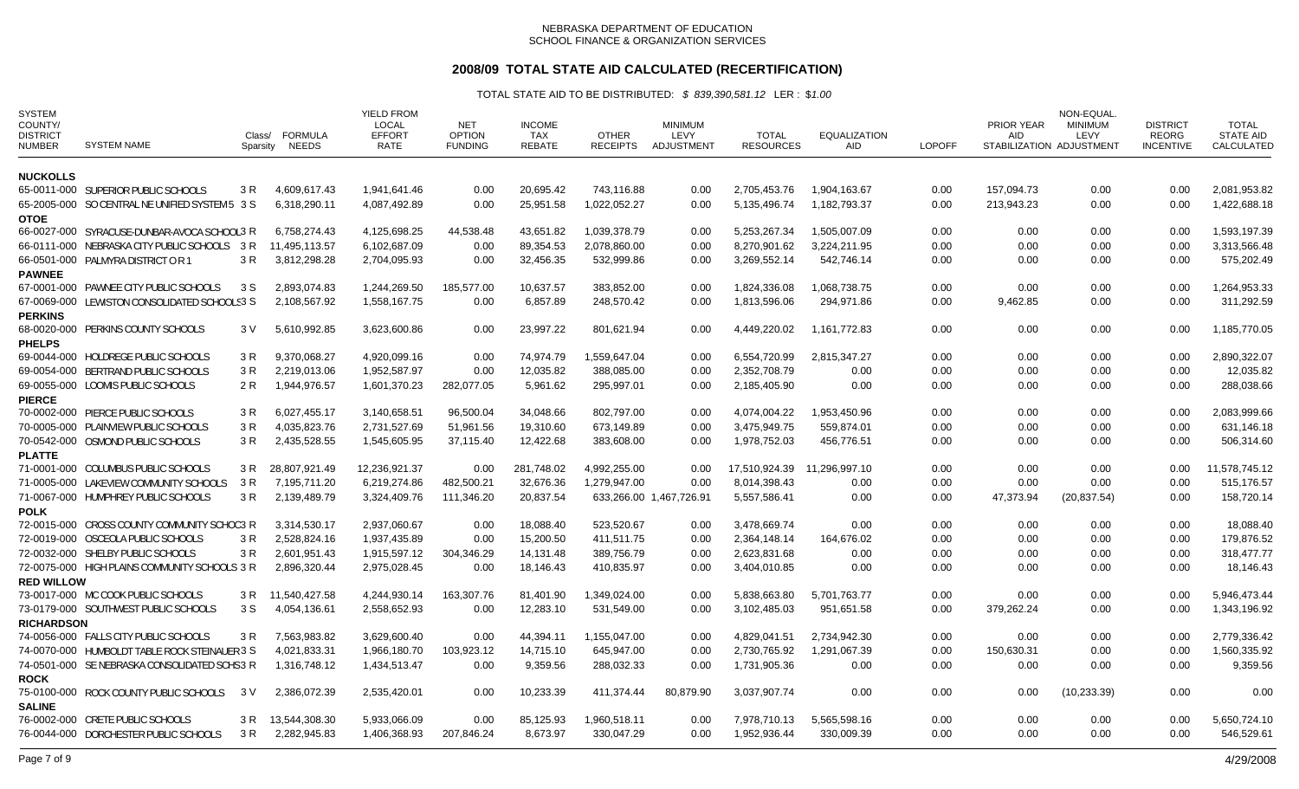# **2008/09 TOTAL STATE AID CALCULATED (RECERTIFICATION)**

| <b>SYSTEM</b><br>COUNTY/<br><b>DISTRICT</b><br><b>NUMBER</b> | <b>SYSTEM NAME</b>                             | Class/<br>Sparsity | FORMULA<br>NEEDS | <b>YIELD FROM</b><br><b>LOCAL</b><br><b>EFFORT</b><br>RATE | <b>NET</b><br><b>OPTION</b><br><b>FUNDING</b> | <b>INCOME</b><br><b>TAX</b><br><b>REBATE</b> | <b>OTHER</b><br><b>RECEIPTS</b> | <b>MINIMUM</b><br>LEVY<br>ADJUSTMENT | <b>TOTAL</b><br><b>RESOURCES</b> | <b>EQUALIZATION</b><br>AID | <b>LOPOFF</b> | <b>PRIOR YEAR</b><br><b>AID</b> | NON-EQUAL<br><b>MINIMUM</b><br>LEVY<br>STABILIZATION ADJUSTMENT | <b>DISTRICT</b><br><b>REORG</b><br><b>INCENTIVE</b> | <b>TOTAL</b><br><b>STATE AID</b><br>CALCULATED |
|--------------------------------------------------------------|------------------------------------------------|--------------------|------------------|------------------------------------------------------------|-----------------------------------------------|----------------------------------------------|---------------------------------|--------------------------------------|----------------------------------|----------------------------|---------------|---------------------------------|-----------------------------------------------------------------|-----------------------------------------------------|------------------------------------------------|
| <b>NUCKOLLS</b>                                              |                                                |                    |                  |                                                            |                                               |                                              |                                 |                                      |                                  |                            |               |                                 |                                                                 |                                                     |                                                |
|                                                              | 65-0011-000 SUPERIOR PUBLIC SCHOOLS            | 3 R                | 4,609,617.43     | 1.941.641.46                                               | 0.00                                          | 20,695.42                                    | 743,116.88                      | 0.00                                 | 2,705,453.76                     | 1,904,163.67               | 0.00          | 157,094.73                      | 0.00                                                            | 0.00                                                | 2,081,953.82                                   |
|                                                              | 65-2005-000 SO CENTRAL NE UNIFIED SYSTEM 5 3 S |                    | 6,318,290.11     | 4.087.492.89                                               | 0.00                                          | 25,951.58                                    | 1.022.052.27                    | 0.00                                 | 5,135,496.74                     | 1.182.793.37               | 0.00          | 213.943.23                      | 0.00                                                            | 0.00                                                | 1,422,688.18                                   |
| <b>OTOE</b>                                                  |                                                |                    |                  |                                                            |                                               |                                              |                                 |                                      |                                  |                            |               |                                 |                                                                 |                                                     |                                                |
|                                                              | 66-0027-000 SYRACUSE-DUNBAR-AVOCA SCHOOL3 R    |                    | 6,758,274.43     | 4,125,698.25                                               | 44,538.48                                     | 43,651.82                                    | 1,039,378.79                    | 0.00                                 | 5,253,267.34                     | 1,505,007.09               | 0.00          | 0.00                            | 0.00                                                            | 0.00                                                | 1,593,197.39                                   |
|                                                              | 66-0111-000 NEBRASKA CITY PUBLIC SCHOOLS 3 R   |                    | 11,495,113.57    | 6,102,687.09                                               | 0.00                                          | 89,354.53                                    | 2,078,860.00                    | 0.00                                 | 8,270,901.62                     | 3,224,211.95               | 0.00          | 0.00                            | 0.00                                                            | 0.00                                                | 3,313,566.48                                   |
|                                                              | 66-0501-000 PALMYRA DISTRICT OR 1              | 3 R                | 3,812,298.28     | 2,704,095.93                                               | 0.00                                          | 32,456.35                                    | 532,999.86                      | 0.00                                 | 3,269,552.14                     | 542,746.14                 | 0.00          | 0.00                            | 0.00                                                            | 0.00                                                | 575,202.49                                     |
| <b>PAWNEE</b>                                                |                                                |                    |                  |                                                            |                                               |                                              |                                 |                                      |                                  |                            |               |                                 |                                                                 |                                                     |                                                |
|                                                              | 67-0001-000 PAWNEE CITY PUBLIC SCHOOLS         | 3 S                | 2,893,074.83     | 1,244,269.50                                               | 185,577.00                                    | 10,637.57                                    | 383,852.00                      | 0.00                                 | 1,824,336.08                     | 1,068,738.75               | 0.00          | 0.00                            | 0.00                                                            | 0.00                                                | 1,264,953.33                                   |
|                                                              | 67-0069-000 LEWISTON CONSOLIDATED SCHOOLS3 S   |                    | 2,108,567.92     | 1,558,167.75                                               | 0.00                                          | 6,857.89                                     | 248,570.42                      | 0.00                                 | 1,813,596.06                     | 294,971.86                 | 0.00          | 9,462.85                        | 0.00                                                            | 0.00                                                | 311,292.59                                     |
| <b>PERKINS</b>                                               |                                                |                    |                  |                                                            |                                               |                                              |                                 |                                      |                                  |                            |               |                                 |                                                                 |                                                     |                                                |
| <b>PHELPS</b>                                                | 68-0020-000 PERKINS COUNTY SCHOOLS             | 3 V                | 5,610,992.85     | 3,623,600.86                                               | 0.00                                          | 23,997.22                                    | 801,621.94                      | 0.00                                 | 4,449,220.02                     | 1,161,772.83               | 0.00          | 0.00                            | 0.00                                                            | 0.00                                                | 1,185,770.05                                   |
|                                                              | 69-0044-000 HOLDREGE PUBLIC SCHOOLS            | 3 R                | 9,370,068.27     | 4,920,099.16                                               | 0.00                                          | 74,974.79                                    | 1,559,647.04                    | 0.00                                 | 6,554,720.99                     | 2,815,347.27               | 0.00          | 0.00                            | 0.00                                                            | 0.00                                                | 2,890,322.07                                   |
|                                                              | 69-0054-000 BERTRAND PUBLIC SCHOOLS            | 3R                 | 2,219,013.06     | 1,952,587.97                                               | 0.00                                          | 12,035.82                                    | 388,085.00                      | 0.00                                 | 2,352,708.79                     | 0.00                       | 0.00          | 0.00                            | 0.00                                                            | 0.00                                                | 12,035.82                                      |
|                                                              | 69-0055-000 LOOMIS PUBLIC SCHOOLS              | 2 R                | 1,944,976.57     | 1,601,370.23                                               | 282,077.05                                    | 5,961.62                                     | 295,997.01                      | 0.00                                 | 2,185,405.90                     | 0.00                       | 0.00          | 0.00                            | 0.00                                                            | 0.00                                                | 288,038.66                                     |
| <b>PIERCE</b>                                                |                                                |                    |                  |                                                            |                                               |                                              |                                 |                                      |                                  |                            |               |                                 |                                                                 |                                                     |                                                |
|                                                              | 70-0002-000 PIERCE PUBLIC SCHOOLS              | 3 R                | 6,027,455.17     | 3,140,658.51                                               | 96,500.04                                     | 34,048.66                                    | 802,797.00                      | 0.00                                 | 4,074,004.22                     | 1,953,450.96               | 0.00          | 0.00                            | 0.00                                                            | 0.00                                                | 2,083,999.66                                   |
|                                                              | 70-0005-000 PLAINVIEW PUBLIC SCHOOLS           | 3R                 | 4,035,823.76     | 2,731,527.69                                               | 51,961.56                                     | 19,310.60                                    | 673,149.89                      | 0.00                                 | 3,475,949.75                     | 559,874.01                 | 0.00          | 0.00                            | 0.00                                                            | 0.00                                                | 631,146.18                                     |
|                                                              | 70-0542-000 OSMOND PUBLIC SCHOOLS              | 3 R                | 2,435,528.55     | 1,545,605.95                                               | 37,115.40                                     | 12,422.68                                    | 383,608.00                      | 0.00                                 | 1,978,752.03                     | 456,776.51                 | 0.00          | 0.00                            | 0.00                                                            | 0.00                                                | 506,314.60                                     |
| <b>PLATTE</b>                                                |                                                |                    |                  |                                                            |                                               |                                              |                                 |                                      |                                  |                            |               |                                 |                                                                 |                                                     |                                                |
|                                                              | 71-0001-000 COLUMBUS PUBLIC SCHOOLS            | 3 R                | 28,807,921.49    | 12,236,921.37                                              | 0.00                                          | 281,748.02                                   | 4,992,255.00                    | 0.00                                 | 17,510,924.39                    | 11,296,997.10              | 0.00          | 0.00                            | 0.00                                                            | 0.00                                                | 11,578,745.12                                  |
|                                                              | 71-0005-000 LAKEVIEW COMMUNITY SCHOOLS         | 3 R                | 7,195,711.20     | 6,219,274.86                                               | 482,500.21                                    | 32,676.36                                    | 1,279,947.00                    | 0.00                                 | 8,014,398.43                     | 0.00                       | 0.00          | 0.00                            | 0.00                                                            | 0.00                                                | 515,176.57                                     |
|                                                              | 71-0067-000 HUMPHREY PUBLIC SCHOOLS            | 3 R                | 2,139,489.79     | 3,324,409.76                                               | 111,346.20                                    | 20,837.54                                    |                                 | 633,266.00 1,467,726.91              | 5,557,586.41                     | 0.00                       | 0.00          | 47,373.94                       | (20, 837.54)                                                    | 0.00                                                | 158,720.14                                     |
| <b>POLK</b>                                                  |                                                |                    |                  |                                                            |                                               |                                              |                                 |                                      |                                  |                            |               |                                 |                                                                 |                                                     |                                                |
|                                                              | 72-0015-000 CROSS COUNTY COMMUNITY SCHOO3 R    |                    | 3,314,530.17     | 2,937,060.67                                               | 0.00                                          | 18,088.40                                    | 523,520.67                      | 0.00                                 | 3,478,669.74                     | 0.00                       | 0.00          | 0.00                            | 0.00                                                            | 0.00                                                | 18,088.40                                      |
|                                                              | 72-0019-000 OSCEOLA PUBLIC SCHOOLS             | 3R                 | 2,528,824.16     | 1,937,435.89                                               | 0.00                                          | 15,200.50                                    | 411,511.75                      | 0.00                                 | 2,364,148.14                     | 164,676.02                 | 0.00          | 0.00                            | 0.00                                                            | 0.00                                                | 179,876.52                                     |
|                                                              | 72-0032-000 SHELBY PUBLIC SCHOOLS              | 3 R                | 2,601,951.43     | 1,915,597.12                                               | 304,346.29                                    | 14,131.48                                    | 389,756.79                      | 0.00                                 | 2,623,831.68                     | 0.00                       | 0.00          | 0.00                            | 0.00                                                            | 0.00                                                | 318,477.77                                     |
|                                                              | 72-0075-000 HIGH PLAINS COMMUNITY SCHOOLS 3 R  |                    | 2,896,320.44     | 2,975,028.45                                               | 0.00                                          | 18,146.43                                    | 410,835.97                      | 0.00                                 | 3,404,010.85                     | 0.00                       | 0.00          | 0.00                            | 0.00                                                            | 0.00                                                | 18,146.43                                      |
| <b>RED WILLOW</b>                                            |                                                |                    |                  |                                                            |                                               |                                              |                                 |                                      |                                  |                            |               |                                 |                                                                 |                                                     |                                                |
|                                                              | 73-0017-000 MC COOK PUBLIC SCHOOLS             | 3 R                | 11,540,427.58    | 4,244,930.14                                               | 163,307.76                                    | 81,401.90                                    | 1,349,024.00                    | 0.00                                 | 5,838,663.80                     | 5,701,763.77               | 0.00          | 0.00                            | 0.00                                                            | 0.00                                                | 5,946,473.44                                   |
|                                                              | 73-0179-000 SOUTHWEST PUBLIC SCHOOLS           | 3 S                | 4,054,136.61     | 2,558,652.93                                               | 0.00                                          | 12,283.10                                    | 531,549.00                      | 0.00                                 | 3,102,485.03                     | 951,651.58                 | 0.00          | 379,262.24                      | 0.00                                                            | 0.00                                                | 1,343,196.92                                   |
| <b>RICHARDSON</b>                                            |                                                |                    |                  |                                                            |                                               |                                              |                                 |                                      |                                  |                            |               |                                 |                                                                 |                                                     |                                                |
|                                                              | 74-0056-000 FALLS CITY PUBLIC SCHOOLS          | 3 R                | 7,563,983.82     | 3.629.600.40                                               | 0.00                                          | 44.394.11                                    | 1,155,047.00                    | 0.00                                 | 4.829.041.51                     | 2,734,942.30               | 0.00          | 0.00                            | 0.00                                                            | 0.00                                                | 2,779,336.42                                   |
|                                                              | 74-0070-000 HUMBOLDT TABLE ROCK STEINAUER 3 S  |                    | 4,021,833.31     | 1,966,180.70                                               | 103,923.12                                    | 14,715.10                                    | 645,947.00                      | 0.00                                 | 2,730,765.92                     | 1,291,067.39               | 0.00          | 150,630.31                      | 0.00                                                            | 0.00                                                | 1,560,335.92                                   |
|                                                              | 74-0501-000 SE NEBRASKA CONSOLIDATED SCHS3 R   |                    | 1,316,748.12     | 1,434,513.47                                               | 0.00                                          | 9,359.56                                     | 288,032.33                      | 0.00                                 | 1,731,905.36                     | 0.00                       | 0.00          | 0.00                            | 0.00                                                            | 0.00                                                | 9,359.56                                       |
| <b>ROCK</b>                                                  |                                                |                    |                  |                                                            |                                               |                                              |                                 |                                      |                                  |                            |               |                                 |                                                                 |                                                     |                                                |
|                                                              | 75-0100-000 ROCK COUNTY PUBLIC SCHOOLS         | 3 V                | 2,386,072.39     | 2,535,420.01                                               | 0.00                                          | 10,233.39                                    | 411,374.44                      | 80,879.90                            | 3,037,907.74                     | 0.00                       | 0.00          | 0.00                            | (10, 233.39)                                                    | 0.00                                                | 0.00                                           |
| <b>SALINE</b>                                                |                                                |                    |                  |                                                            |                                               |                                              |                                 |                                      |                                  |                            |               |                                 |                                                                 |                                                     |                                                |
|                                                              | 76-0002-000 CRETE PUBLIC SCHOOLS               | 3 R                | 13,544,308.30    | 5,933,066.09                                               | 0.00                                          | 85,125.93                                    | 1,960,518.11                    | 0.00                                 | 7,978,710.13                     | 5,565,598.16               | 0.00          | 0.00                            | 0.00                                                            | 0.00                                                | 5,650,724.10                                   |
|                                                              | 76-0044-000 DORCHESTER PUBLIC SCHOOLS          | 3 R                | 2,282,945.83     | 1,406,368.93                                               | 207,846.24                                    | 8,673.97                                     | 330,047.29                      | 0.00                                 | 1,952,936.44                     | 330,009.39                 | 0.00          | 0.00                            | 0.00                                                            | 0.00                                                | 546,529.61                                     |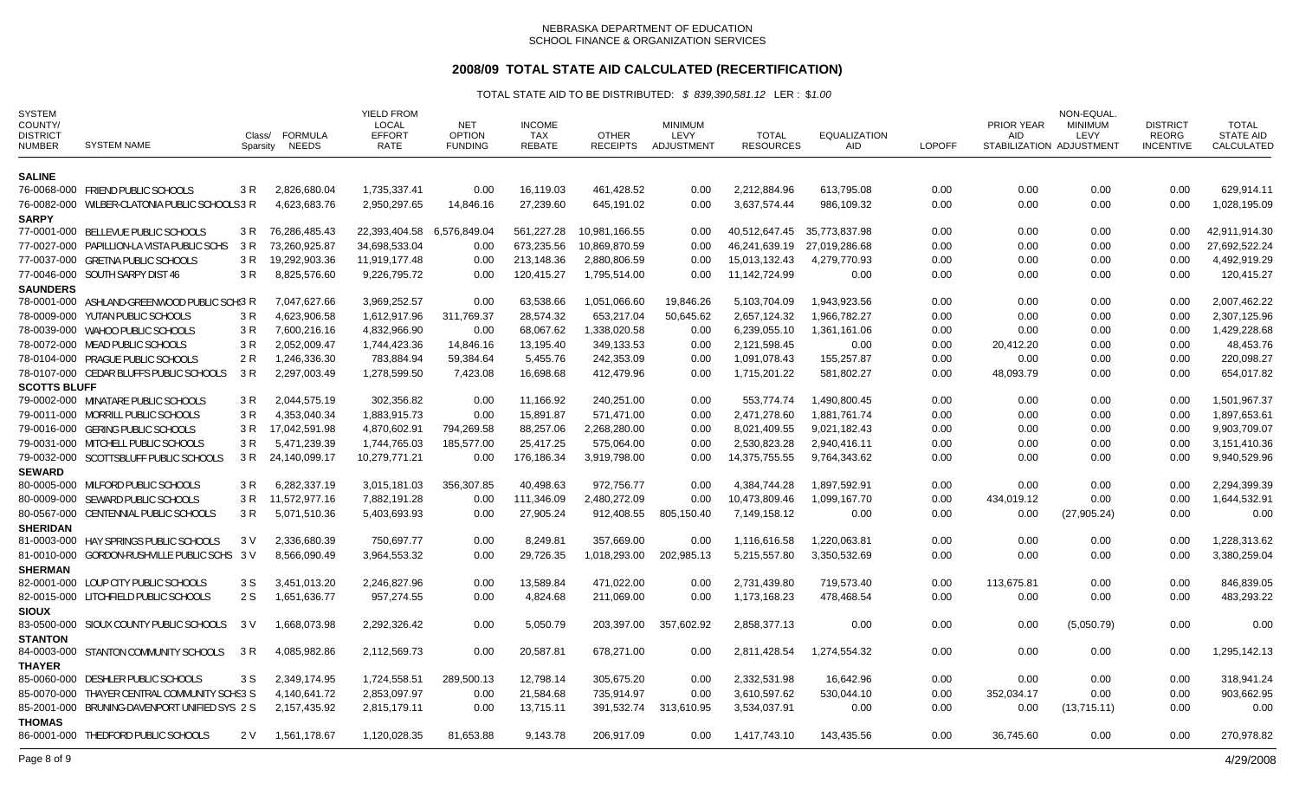## **2008/09 TOTAL STATE AID CALCULATED (RECERTIFICATION)**

| <b>SYSTEM</b><br>COUNTY/<br><b>DISTRICT</b><br><b>NUMBER</b> | <b>SYSTEM NAME</b>                             | Class/<br>Sparsity | <b>FORMULA</b><br><b>NEEDS</b> | <b>YIELD FROM</b><br><b>LOCAL</b><br><b>EFFORT</b><br>RATE | <b>NET</b><br><b>OPTION</b><br><b>FUNDING</b> | <b>INCOME</b><br><b>TAX</b><br><b>REBATE</b> | <b>OTHER</b><br><b>RECEIPTS</b> | <b>MINIMUM</b><br>LEVY<br>ADJUSTMENT | <b>TOTAL</b><br><b>RESOURCES</b> | <b>EQUALIZATION</b><br>AID | <b>LOPOFF</b> | PRIOR YEAR<br><b>AID</b> | NON-EQUAL<br><b>MINIMUM</b><br>LEVY<br>STABILIZATION ADJUSTMENT | <b>DISTRICT</b><br><b>REORG</b><br><b>INCENTIVE</b> | <b>TOTAL</b><br><b>STATE AID</b><br>CALCULATED |
|--------------------------------------------------------------|------------------------------------------------|--------------------|--------------------------------|------------------------------------------------------------|-----------------------------------------------|----------------------------------------------|---------------------------------|--------------------------------------|----------------------------------|----------------------------|---------------|--------------------------|-----------------------------------------------------------------|-----------------------------------------------------|------------------------------------------------|
| <b>SALINE</b>                                                |                                                |                    |                                |                                                            |                                               |                                              |                                 |                                      |                                  |                            |               |                          |                                                                 |                                                     |                                                |
|                                                              | 76-0068-000 FRIEND PUBLIC SCHOOLS              | 3 R                | 2,826,680.04                   | 1,735,337.41                                               | 0.00                                          | 16.119.03                                    | 461,428.52                      | 0.00                                 | 2.212.884.96                     | 613.795.08                 | 0.00          | 0.00                     | 0.00                                                            | 0.00                                                | 629.914.11                                     |
|                                                              | 76-0082-000 WILBER-CLATONIA PUBLIC SCHOOLS 3 R |                    | 4.623.683.76                   | 2.950.297.65                                               | 14.846.16                                     | 27.239.60                                    | 645.191.02                      | 0.00                                 | 3.637.574.44                     | 986.109.32                 | 0.00          | 0.00                     | 0.00                                                            | 0.00                                                | 1.028.195.09                                   |
| <b>SARPY</b>                                                 |                                                |                    |                                |                                                            |                                               |                                              |                                 |                                      |                                  |                            |               |                          |                                                                 |                                                     |                                                |
|                                                              | 77-0001-000 BELLEVUE PUBLIC SCHOOLS            | 3 R                | 76,286,485.43                  | 22,393,404.58                                              | 6,576,849.04                                  | 561,227.28                                   | 10,981,166.55                   | 0.00                                 | 40,512,647.45                    | 35,773,837.98              | 0.00          | 0.00                     | 0.00                                                            | 0.00                                                | 42,911,914.30                                  |
|                                                              | 77-0027-000 PAPILLION-LA VISTA PUBLIC SCHS     | 3 R                | 73,260,925.87                  | 34,698,533.04                                              | 0.00                                          | 673,235.56                                   | 10,869,870.59                   | 0.00                                 | 46,241,639.19                    | 27,019,286.68              | 0.00          | 0.00                     | 0.00                                                            | 0.00                                                | 27,692,522.24                                  |
|                                                              | 77-0037-000 GRETNA PUBLIC SCHOOLS              | 3 R                | 19,292,903.36                  | 11,919,177.48                                              | 0.00                                          | 213,148.36                                   | 2,880,806.59                    | 0.00                                 | 15,013,132.43                    | 4,279,770.93               | 0.00          | 0.00                     | 0.00                                                            | 0.00                                                | 4,492,919.29                                   |
|                                                              | 77-0046-000 SOUTH SARPY DIST 46                | 3R                 | 8,825,576.60                   | 9,226,795.72                                               | 0.00                                          | 120,415.27                                   | 1,795,514.00                    | 0.00                                 | 11,142,724.99                    | 0.00                       | 0.00          | 0.00                     | 0.00                                                            | 0.00                                                | 120,415.27                                     |
| <b>SAUNDERS</b>                                              |                                                |                    |                                |                                                            |                                               |                                              |                                 |                                      |                                  |                            |               |                          |                                                                 |                                                     |                                                |
|                                                              | 78-0001-000 ASHLAND-GREENWOOD PUBLIC SCH'S R   |                    | 7,047,627.66                   | 3,969,252.57                                               | 0.00                                          | 63,538.66                                    | 1,051,066.60                    | 19,846.26                            | 5,103,704.09                     | 1,943,923.56               | 0.00          | 0.00                     | 0.00                                                            | 0.00                                                | 2,007,462.22                                   |
|                                                              | 78-0009-000 YUTAN PUBLIC SCHOOLS               | 3 R                | 4,623,906.58                   | 1,612,917.96                                               | 311,769.37                                    | 28,574.32                                    | 653,217.04                      | 50,645.62                            | 2,657,124.32                     | 1,966,782.27               | 0.00          | 0.00                     | 0.00                                                            | 0.00                                                | 2,307,125.96                                   |
|                                                              | 78-0039-000 WAHOO PUBLIC SCHOOLS               | 3 R                | 7,600,216.16                   | 4,832,966.90                                               | 0.00                                          | 68,067.62                                    | 1,338,020.58                    | 0.00                                 | 6,239,055.10                     | 1,361,161.06               | 0.00          | 0.00                     | 0.00                                                            | 0.00                                                | 1,429,228.68                                   |
|                                                              | 78-0072-000 MEAD PUBLIC SCHOOLS                | 3 R                | 2,052,009.47                   | 1,744,423.36                                               | 14,846.16                                     | 13,195.40                                    | 349,133.53                      | 0.00                                 | 2,121,598.45                     | 0.00                       | 0.00          | 20,412.20                | 0.00                                                            | 0.00                                                | 48,453.76                                      |
|                                                              | 78-0104-000 PRAGUE PUBLIC SCHOOLS              | 2 R                | 1,246,336.30                   | 783,884.94                                                 | 59,384.64                                     | 5,455.76                                     | 242,353.09                      | 0.00                                 | 1,091,078.43                     | 155,257.87                 | 0.00          | 0.00                     | 0.00                                                            | 0.00                                                | 220,098.27                                     |
|                                                              | 78-0107-000 CEDAR BLUFFS PUBLIC SCHOOLS        | 3 R                | 2,297,003.49                   | 1,278,599.50                                               | 7,423.08                                      | 16,698.68                                    | 412,479.96                      | 0.00                                 | 1,715,201.22                     | 581,802.27                 | 0.00          | 48,093.79                | 0.00                                                            | 0.00                                                | 654,017.82                                     |
| <b>SCOTTS BLUFF</b>                                          |                                                |                    |                                |                                                            |                                               |                                              |                                 |                                      |                                  |                            |               |                          |                                                                 |                                                     |                                                |
|                                                              | 79-0002-000 MINATARE PUBLIC SCHOOLS            | 3 R                | 2,044,575.19                   | 302,356.82                                                 | 0.00                                          | 11,166.92                                    | 240,251.00                      | 0.00                                 | 553,774.74                       | 1,490,800.45               | 0.00          | 0.00                     | 0.00                                                            | 0.00                                                | 1,501,967.37                                   |
|                                                              | 79-0011-000 MORRILL PUBLIC SCHOOLS             | 3 R                | 4,353,040.34                   | 1,883,915.73                                               | 0.00                                          | 15,891.87                                    | 571,471.00                      | 0.00                                 | 2,471,278.60                     | 1,881,761.74               | 0.00          | 0.00                     | 0.00                                                            | 0.00                                                | 1,897,653.61                                   |
|                                                              | 79-0016-000 GERING PUBLIC SCHOOLS              | 3 R                | 17,042,591.98                  | 4,870,602.91                                               | 794,269.58                                    | 88,257.06                                    | 2,268,280.00                    | 0.00                                 | 8,021,409.55                     | 9,021,182.43               | 0.00          | 0.00                     | 0.00                                                            | 0.00                                                | 9,903,709.07                                   |
|                                                              | 79-0031-000 MITCHELL PUBLIC SCHOOLS            | 3 R                | 5,471,239.39                   | 1,744,765.03                                               | 185,577.00                                    | 25,417.25                                    | 575,064.00                      | 0.00                                 | 2,530,823.28                     | 2,940,416.11               | 0.00          | 0.00                     | 0.00                                                            | 0.00                                                | 3,151,410.36                                   |
|                                                              | 79-0032-000 SCOTTSBLUFF PUBLIC SCHOOLS         | 3 R                | 24,140,099.17                  | 10,279,771.21                                              | 0.00                                          | 176,186.34                                   | 3,919,798.00                    | 0.00                                 | 14,375,755.55                    | 9,764,343.62               | 0.00          | 0.00                     | 0.00                                                            | 0.00                                                | 9,940,529.96                                   |
| <b>SEWARD</b>                                                |                                                |                    |                                |                                                            |                                               |                                              |                                 |                                      |                                  |                            |               |                          |                                                                 |                                                     |                                                |
|                                                              | 80-0005-000 MILFORD PUBLIC SCHOOLS             | 3 R                | 6,282,337.19                   | 3,015,181.03                                               | 356,307.85                                    | 40,498.63                                    | 972,756.77                      | 0.00                                 | 4,384,744.28                     | 1,897,592.91               | 0.00          | 0.00                     | 0.00                                                            | 0.00                                                | 2,294,399.39                                   |
|                                                              | 80-0009-000 SEWARD PUBLIC SCHOOLS              | 3 R                | 11,572,977.16                  | 7,882,191.28                                               | 0.00                                          | 111,346.09                                   | 2,480,272.09                    | 0.00                                 | 10,473,809.46                    | 1,099,167.70               | 0.00          | 434,019.12               | 0.00                                                            | 0.00                                                | 1,644,532.91                                   |
|                                                              | 80-0567-000 CENTENNIAL PUBLIC SCHOOLS          | 3 R                | 5,071,510.36                   | 5,403,693.93                                               | 0.00                                          | 27,905.24                                    | 912,408.55                      | 805,150.40                           | 7,149,158.12                     | 0.00                       | 0.00          | 0.00                     | (27, 905.24)                                                    | 0.00                                                | 0.00                                           |
| <b>SHERIDAN</b>                                              |                                                |                    |                                |                                                            |                                               |                                              |                                 |                                      |                                  |                            |               |                          |                                                                 |                                                     |                                                |
|                                                              | 81-0003-000 HAY SPRINGS PUBLIC SCHOOLS         | 3 V                | 2.336.680.39                   | 750.697.77                                                 | 0.00                                          | 8.249.81                                     | 357.669.00                      | 0.00                                 | 1,116,616.58                     | 1.220.063.81               | 0.00          | 0.00                     | 0.00                                                            | 0.00                                                | 1.228.313.62                                   |
|                                                              | 81-0010-000 GORDON-RUSHVILLE PUBLIC SCHS 3 V   |                    | 8,566,090.49                   | 3,964,553.32                                               | 0.00                                          | 29,726.35                                    | 1,018,293.00                    | 202,985.13                           | 5,215,557.80                     | 3,350,532.69               | 0.00          | 0.00                     | 0.00                                                            | 0.00                                                | 3,380,259.04                                   |
| <b>SHERMAN</b>                                               |                                                |                    |                                |                                                            |                                               |                                              |                                 |                                      |                                  |                            |               |                          |                                                                 |                                                     |                                                |
|                                                              | 82-0001-000 LOUP CITY PUBLIC SCHOOLS           | 3 S                | 3,451,013.20                   | 2,246,827.96                                               | 0.00                                          | 13,589.84                                    | 471,022.00                      | 0.00                                 | 2,731,439.80                     | 719,573.40                 | 0.00          | 113,675.81               | 0.00                                                            | 0.00                                                | 846,839.05                                     |
|                                                              | 82-0015-000 LITCHFIELD PUBLIC SCHOOLS          | 2 S                | 1,651,636.77                   | 957,274.55                                                 | 0.00                                          | 4,824.68                                     | 211,069.00                      | 0.00                                 | 1,173,168.23                     | 478,468.54                 | 0.00          | 0.00                     | 0.00                                                            | 0.00                                                | 483,293.22                                     |
| <b>SIOUX</b>                                                 | 83-0500-000 SIOUX COUNTY PUBLIC SCHOOLS        | 3 V                | 1,668,073.98                   | 2,292,326.42                                               | 0.00                                          | 5,050.79                                     | 203,397.00                      | 357,602.92                           | 2,858,377.13                     | 0.00                       | 0.00          | 0.00                     | (5,050.79)                                                      | 0.00                                                | 0.00                                           |
| <b>STANTON</b>                                               |                                                |                    |                                |                                                            |                                               |                                              |                                 |                                      |                                  |                            |               |                          |                                                                 |                                                     |                                                |
|                                                              | 84-0003-000 STANTON COMMUNITY SCHOOLS          | 3 R                | 4,085,982.86                   | 2,112,569.73                                               | 0.00                                          | 20,587.81                                    | 678,271.00                      | 0.00                                 | 2,811,428.54                     | 1,274,554.32               | 0.00          | 0.00                     | 0.00                                                            | 0.00                                                | 1,295,142.13                                   |
| <b>THAYER</b>                                                |                                                |                    |                                |                                                            |                                               |                                              |                                 |                                      |                                  |                            |               |                          |                                                                 |                                                     |                                                |
|                                                              | 85-0060-000 DESHLER PUBLIC SCHOOLS             | 3 S                | 2,349,174.95                   | 1,724,558.51                                               | 289,500.13                                    | 12,798.14                                    | 305,675.20                      | 0.00                                 | 2,332,531.98                     | 16,642.96                  | 0.00          | 0.00                     | 0.00                                                            | 0.00                                                | 318,941.24                                     |
|                                                              | 85-0070-000 THAYER CENTRAL COMMUNITY SCHS3 S   |                    | 4,140,641.72                   | 2,853,097.97                                               | 0.00                                          | 21,584.68                                    | 735,914.97                      | 0.00                                 | 3,610,597.62                     | 530,044.10                 | 0.00          | 352,034.17               | 0.00                                                            | 0.00                                                | 903,662.95                                     |
|                                                              | 85-2001-000 BRUNING-DAVENPORT UNIFIED SYS 2 S  |                    | 2,157,435.92                   | 2,815,179.11                                               | 0.00                                          | 13,715.11                                    | 391,532.74                      | 313,610.95                           | 3,534,037.91                     | 0.00                       | 0.00          | 0.00                     | (13,715.11)                                                     | 0.00                                                | 0.00                                           |
| <b>THOMAS</b>                                                |                                                |                    |                                |                                                            |                                               |                                              |                                 |                                      |                                  |                            |               |                          |                                                                 |                                                     |                                                |
|                                                              | 86-0001-000 THEDFORD PUBLIC SCHOOLS            | 2 V                | 1,561,178.67                   | 1,120,028.35                                               | 81,653.88                                     | 9,143.78                                     | 206,917.09                      | 0.00                                 | 1,417,743.10                     | 143,435.56                 | 0.00          | 36.745.60                | 0.00                                                            | 0.00                                                | 270,978.82                                     |